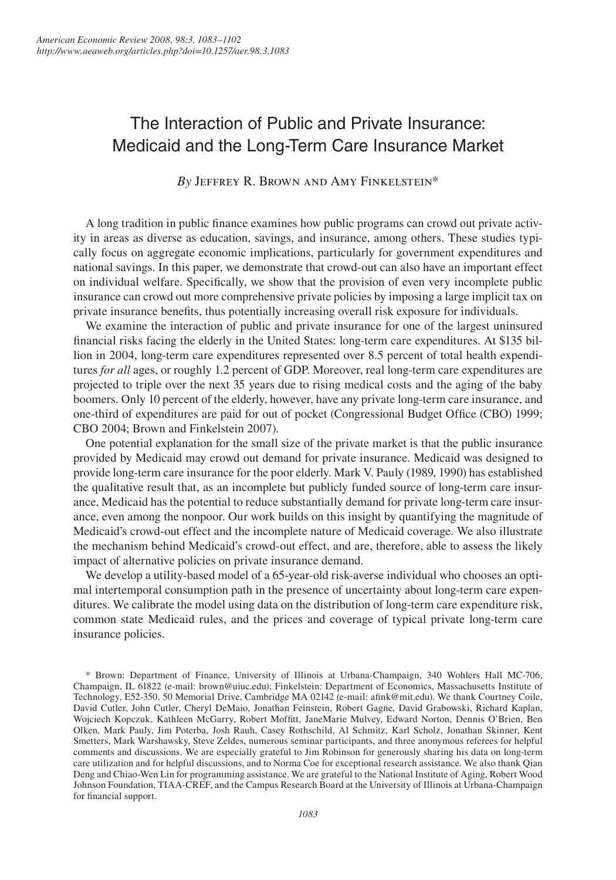# The Interaction of Public and Private Insurance: Medicaid and the Long-Term Care Insurance Market

*By* Jeffrey R. Brown and Amy Finkelstein\*

A long tradition in public finance examines how public programs can crowd out private activity in areas as diverse as education, savings, and insurance, among others. These studies typically focus on aggregate economic implications, particularly for government expenditures and national savings. In this paper, we demonstrate that crowd-out can also have an important effect on individual welfare. Specifically, we show that the provision of even very incomplete public insurance can crowd out more comprehensive private policies by imposing a large implicit tax on private insurance benefits, thus potentially increasing overall risk exposure for individuals.

We examine the interaction of public and private insurance for one of the largest uninsured financial risks facing the elderly in the United States: long-term care expenditures. At \$135 billion in 2004, long-term care expenditures represented over 8.5 percent of total health expenditures *for all* ages, or roughly 1.2 percent of GDP. Moreover, real long-term care expenditures are projected to triple over the next 35 years due to rising medical costs and the aging of the baby boomers. Only 10 percent of the elderly, however, have any private long-term care insurance, and one-third of expenditures are paid for out of pocket (Congressional Budget Office (CBO) 1999; CBO 2004; Brown and Finkelstein 2007).

One potential explanation for the small size of the private market is that the public insurance provided by Medicaid may crowd out demand for private insurance. Medicaid was designed to provide long-term care insurance for the poor elderly. Mark V. Pauly (1989, 1990) has established the qualitative result that, as an incomplete but publicly funded source of long-term care insurance, Medicaid has the potential to reduce substantially demand for private long-term care insurance, even among the nonpoor. Our work builds on this insight by quantifying the magnitude of Medicaid's crowd-out effect and the incomplete nature of Medicaid coverage. We also illustrate the mechanism behind Medicaid's crowd-out effect, and are, therefore, able to assess the likely impact of alternative policies on private insurance demand.

We develop a utility-based model of a 65-year-old risk-averse individual who chooses an optimal intertemporal consumption path in the presence of uncertainty about long-term care expenditures. We calibrate the model using data on the distribution of long-term care expenditure risk, common state Medicaid rules, and the prices and coverage of typical private long-term care insurance policies.

<sup>\*</sup> Brown: Department of Finance, University of Illinois at Urbana-Champaign, 340 Wohlers Hall MC-706, Champaign, IL 61822 (e-mail: brown@uiuc.edu); Finkelstein: Department of Economics, Massachusetts Institute of Technology, E52-350, 50 Memorial Drive, Cambridge MA 02142 (e-mail: afink@mit.edu). We thank Courtney Coile, David Cutler, John Cutler, Cheryl DeMaio, Jonathan Feinstein, Robert Gagne, David Grabowski, Richard Kaplan, Wojciech Kopczuk, Kathleen McGarry, Robert Moffitt, JaneMarie Mulvey, Edward Norton, Dennis O'Brien, Ben Olken, Mark Pauly, Jim Poterba, Josh Rauh, Casey Rothschild, Al Schmitz, Karl Scholz, Jonathan Skinner, Kent Smetters, Mark Warshawsky, Steve Zeldes, numerous seminar participants, and three anonymous referees for helpful comments and discussions. We are especially grateful to Jim Robinson for generously sharing his data on long-term care utilization and for helpful discussions, and to Norma Coe for exceptional research assistance. We also thank Qian Deng and Chiao-Wen Lin for programming assistance. We are grateful to the National Institute of Aging, Robert Wood Johnson Foundation, TIAA-CREF, and the Campus Research Board at the University of Illinois at Urbana-Champaign for financial support.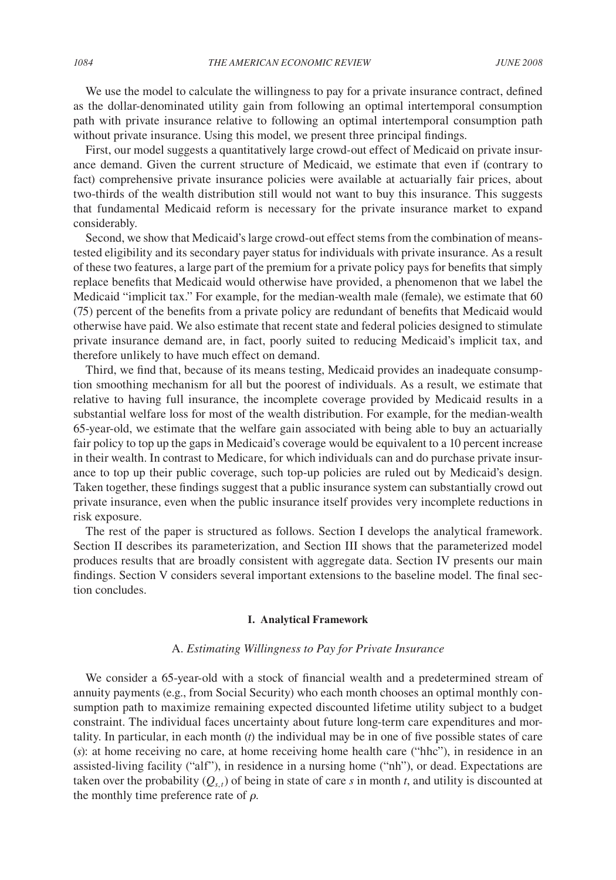We use the model to calculate the willingness to pay for a private insurance contract, defined as the dollar-denominated utility gain from following an optimal intertemporal consumption path with private insurance relative to following an optimal intertemporal consumption path without private insurance. Using this model, we present three principal findings.

First, our model suggests a quantitatively large crowd-out effect of Medicaid on private insurance demand. Given the current structure of Medicaid, we estimate that even if (contrary to fact) comprehensive private insurance policies were available at actuarially fair prices, about two-thirds of the wealth distribution still would not want to buy this insurance. This suggests that fundamental Medicaid reform is necessary for the private insurance market to expand considerably.

Second, we show that Medicaid's large crowd-out effect stems from the combination of meanstested eligibility and its secondary payer status for individuals with private insurance. As a result of these two features, a large part of the premium for a private policy pays for benefits that simply replace benefits that Medicaid would otherwise have provided, a phenomenon that we label the Medicaid "implicit tax." For example, for the median-wealth male (female), we estimate that 60 (75) percent of the benefits from a private policy are redundant of benefits that Medicaid would otherwise have paid. We also estimate that recent state and federal policies designed to stimulate private insurance demand are, in fact, poorly suited to reducing Medicaid's implicit tax, and therefore unlikely to have much effect on demand.

Third, we find that, because of its means testing, Medicaid provides an inadequate consumption smoothing mechanism for all but the poorest of individuals. As a result, we estimate that relative to having full insurance, the incomplete coverage provided by Medicaid results in a substantial welfare loss for most of the wealth distribution. For example, for the median-wealth 65-year-old, we estimate that the welfare gain associated with being able to buy an actuarially fair policy to top up the gaps in Medicaid's coverage would be equivalent to a 10 percent increase in their wealth. In contrast to Medicare, for which individuals can and do purchase private insurance to top up their public coverage, such top-up policies are ruled out by Medicaid's design. Taken together, these findings suggest that a public insurance system can substantially crowd out private insurance, even when the public insurance itself provides very incomplete reductions in risk exposure.

The rest of the paper is structured as follows. Section I develops the analytical framework. Section II describes its parameterization, and Section III shows that the parameterized model produces results that are broadly consistent with aggregate data. Section IV presents our main findings. Section V considers several important extensions to the baseline model. The final section concludes.

#### **I. Analytical Framework**

# A. *Estimating Willingness to Pay for Private Insurance*

We consider a 65-year-old with a stock of financial wealth and a predetermined stream of annuity payments (e.g., from Social Security) who each month chooses an optimal monthly consumption path to maximize remaining expected discounted lifetime utility subject to a budget constraint. The individual faces uncertainty about future long-term care expenditures and mortality. In particular, in each month (*t*) the individual may be in one of five possible states of care (*s*): at home receiving no care, at home receiving home health care ("hhc"), in residence in an assisted-living facility ("alf"), in residence in a nursing home ("nh"), or dead. Expectations are taken over the probability  $(Q_{s,t})$  of being in state of care  $s$  in month  $t$ , and utility is discounted at the monthly time preference rate of  $\rho$ .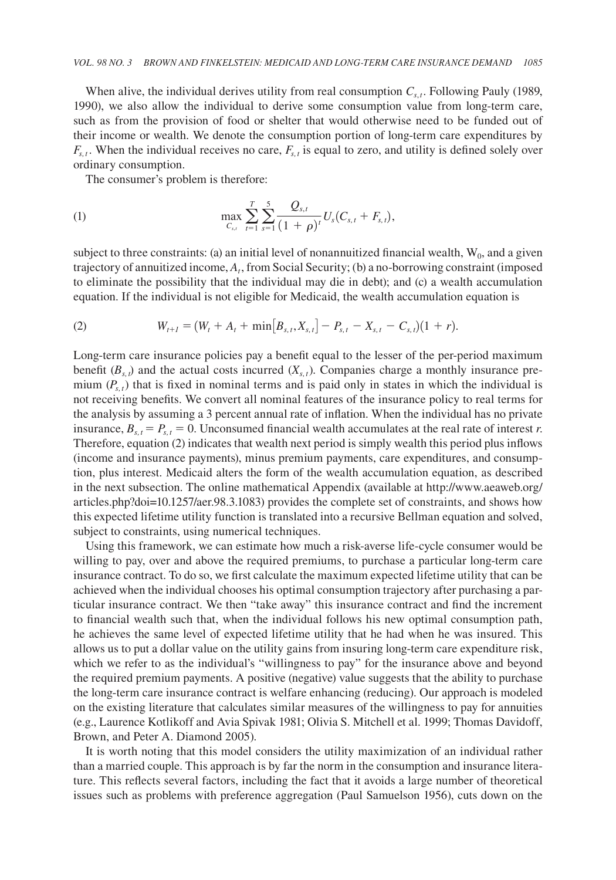When alive, the individual derives utility from real consumption *Cs*,*t*. Following Pauly (1989, 1990), we also allow the individual to derive some consumption value from long-term care, such as from the provision of food or shelter that would otherwise need to be funded out of their income or wealth. We denote the consumption portion of long-term care expenditures by  $F_{s,t}$ . When the individual receives no care,  $F_{s,t}$  is equal to zero, and utility is defined solely over ordinary consumption.

The consumer's problem is therefore:

(1) 
$$
\max_{C_{s,t}} \sum_{t=1}^T \sum_{s=1}^5 \frac{Q_{s,t}}{(1+\rho)^t} U_s(C_{s,t}+F_{s,t}),
$$

subject to three constraints: (a) an initial level of nonannuitized financial wealth,  $W_0$ , and a given trajectory of annuitized income, *At*, from Social Security; (b) a no-borrowing constraint (imposed to eliminate the possibility that the individual may die in debt); and (c) a wealth accumulation equation. If the individual is not eligible for Medicaid, the wealth accumulation equation is

(2) 
$$
W_{t+1} = (W_t + A_t + \min[B_{s,t}, X_{s,t}] - P_{s,t} - X_{s,t} - C_{s,t})(1+r).
$$

Long-term care insurance policies pay a benefit equal to the lesser of the per-period maximum benefit  $(B_{s,t})$  and the actual costs incurred  $(X_{s,t})$ . Companies charge a monthly insurance premium  $(P_{s,t})$  that is fixed in nominal terms and is paid only in states in which the individual is not receiving benefits. We convert all nominal features of the insurance policy to real terms for the analysis by assuming a 3 percent annual rate of inflation. When the individual has no private insurance,  $B_{s,t} = P_{s,t} = 0$ . Unconsumed financial wealth accumulates at the real rate of interest *r*. Therefore, equation (2) indicates that wealth next period is simply wealth this period plus inflows (income and insurance payments), minus premium payments, care expenditures, and consumption, plus interest. Medicaid alters the form of the wealth accumulation equation, as described in the next subsection. The online mathematical Appendix (available at http://www.aeaweb.org/ articles.php?doi=10.1257/aer.98.3.1083) provides the complete set of constraints, and shows how this expected lifetime utility function is translated into a recursive Bellman equation and solved, subject to constraints, using numerical techniques.

Using this framework, we can estimate how much a risk-averse life-cycle consumer would be willing to pay, over and above the required premiums, to purchase a particular long-term care insurance contract. To do so, we first calculate the maximum expected lifetime utility that can be achieved when the individual chooses his optimal consumption trajectory after purchasing a particular insurance contract. We then "take away" this insurance contract and find the increment to financial wealth such that, when the individual follows his new optimal consumption path, he achieves the same level of expected lifetime utility that he had when he was insured. This allows us to put a dollar value on the utility gains from insuring long-term care expenditure risk, which we refer to as the individual's "willingness to pay" for the insurance above and beyond the required premium payments. A positive (negative) value suggests that the ability to purchase the long-term care insurance contract is welfare enhancing (reducing). Our approach is modeled on the existing literature that calculates similar measures of the willingness to pay for annuities (e.g., Laurence Kotlikoff and Avia Spivak 1981; Olivia S. Mitchell et al. 1999; Thomas Davidoff, Brown, and Peter A. Diamond 2005).

It is worth noting that this model considers the utility maximization of an individual rather than a married couple. This approach is by far the norm in the consumption and insurance literature. This reflects several factors, including the fact that it avoids a large number of theoretical issues such as problems with preference aggregation (Paul Samuelson 1956), cuts down on the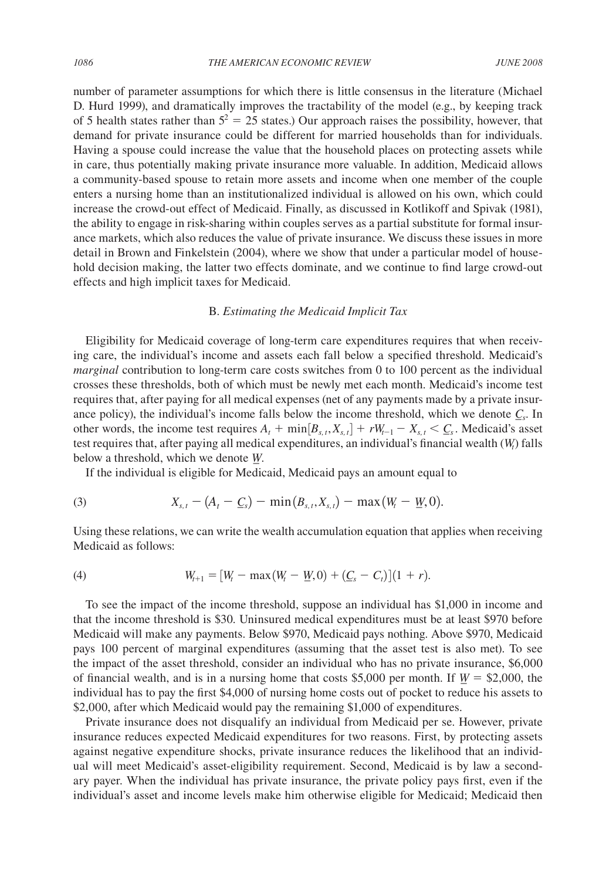*1086 THE AMERICAN ECONOMIC REVIEW June 2008*

number of parameter assumptions for which there is little consensus in the literature (Michael D. Hurd 1999), and dramatically improves the tractability of the model (e.g., by keeping track of 5 health states rather than  $5^2 = 25$  states.) Our approach raises the possibility, however, that demand for private insurance could be different for married households than for individuals. Having a spouse could increase the value that the household places on protecting assets while in care, thus potentially making private insurance more valuable. In addition, Medicaid allows a community-based spouse to retain more assets and income when one member of the couple enters a nursing home than an institutionalized individual is allowed on his own, which could increase the crowd-out effect of Medicaid. Finally, as discussed in Kotlikoff and Spivak (1981), the ability to engage in risk-sharing within couples serves as a partial substitute for formal insurance markets, which also reduces the value of private insurance. We discuss these issues in more detail in Brown and Finkelstein (2004), where we show that under a particular model of household decision making, the latter two effects dominate, and we continue to find large crowd-out effects and high implicit taxes for Medicaid.

#### B. *Estimating the Medicaid Implicit Tax*

Eligibility for Medicaid coverage of long-term care expenditures requires that when receiving care, the individual's income and assets each fall below a specified threshold. Medicaid's *marginal* contribution to long-term care costs switches from 0 to 100 percent as the individual crosses these thresholds, both of which must be newly met each month. Medicaid's income test requires that, after paying for all medical expenses (net of any payments made by a private insurance policy), the individual's income falls below the income threshold, which we denote  $C_s$ . In other words, the income test requires  $A_t$  + min $[B_{s,t}, X_{s,t}]$  +  $rW_{t-1} - X_{s,t} < C_s$ . Medicaid's asset test requires that, after paying all medical expenditures, an individual's financial wealth (*W<sub>i</sub>*) falls below a threshold, which we denote *W\_* .

If the individual is eligible for Medicaid, Medicaid pays an amount equal to

(3) 
$$
X_{s,t} - (A_t - \underline{C}_s) - \min(B_{s,t}, X_{s,t}) - \max(W_t - \underline{W}, 0).
$$

Using these relations, we can write the wealth accumulation equation that applies when receiving Medicaid as follows:

(4) 
$$
W_{t+1} = [W_t - \max(W_t - \underline{W}, 0) + (\underline{C}_s - C_t)](1+r).
$$

To see the impact of the income threshold, suppose an individual has \$1,000 in income and that the income threshold is \$30. Uninsured medical expenditures must be at least \$970 before Medicaid will make any payments. Below \$970, Medicaid pays nothing. Above \$970, Medicaid pays 100 percent of marginal expenditures (assuming that the asset test is also met). To see the impact of the asset threshold, consider an individual who has no private insurance, \$6,000 of financial wealth, and is in a nursing home that costs \$5,000 per month. If  $W = $2,000$ , the individual has to pay the first \$4,000 of nursing home costs out of pocket to reduce his assets to \$2,000, after which Medicaid would pay the remaining \$1,000 of expenditures.

Private insurance does not disqualify an individual from Medicaid per se. However, private insurance reduces expected Medicaid expenditures for two reasons. First, by protecting assets against negative expenditure shocks, private insurance reduces the likelihood that an individual will meet Medicaid's asset-eligibility requirement. Second, Medicaid is by law a secondary payer. When the individual has private insurance, the private policy pays first, even if the individual's asset and income levels make him otherwise eligible for Medicaid; Medicaid then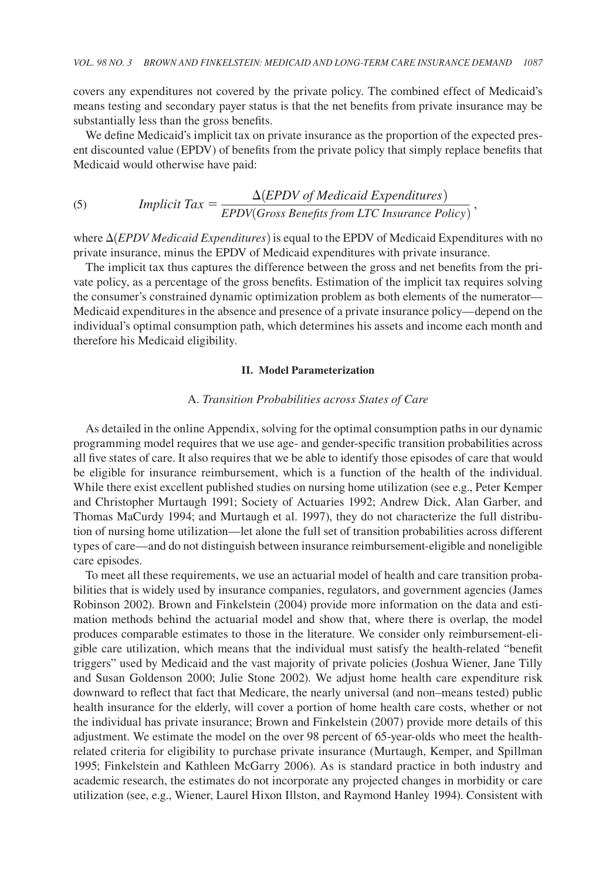covers any expenditures not covered by the private policy. The combined effect of Medicaid's means testing and secondary payer status is that the net benefits from private insurance may be substantially less than the gross benefits.

We define Medicaid's implicit tax on private insurance as the proportion of the expected present discounted value (EPDV) of benefits from the private policy that simply replace benefits that Medicaid would otherwise have paid:

(5) *Implicit Tax* = 
$$
\frac{\Delta(EPDV \ of \ Medical\ Expenditures)}{EPDV(Gross \, Benefits \, from \, LTC \, Insurance \, Policy)},
$$

where  $\Delta$ (*EPDV Medicaid Expenditures*) is equal to the EPDV of Medicaid Expenditures with no private insurance, minus the EPDV of Medicaid expenditures with private insurance.

The implicit tax thus captures the difference between the gross and net benefits from the private policy, as a percentage of the gross benefits. Estimation of the implicit tax requires solving the consumer's constrained dynamic optimization problem as both elements of the numerator— Medicaid expenditures in the absence and presence of a private insurance policy—depend on the individual's optimal consumption path, which determines his assets and income each month and therefore his Medicaid eligibility.

#### **II. Model Parameterization**

#### A. *Transition Probabilities across States of Care*

As detailed in the online Appendix, solving for the optimal consumption paths in our dynamic programming model requires that we use age- and gender-specific transition probabilities across all five states of care. It also requires that we be able to identify those episodes of care that would be eligible for insurance reimbursement, which is a function of the health of the individual. While there exist excellent published studies on nursing home utilization (see e.g., Peter Kemper and Christopher Murtaugh 1991; Society of Actuaries 1992; Andrew Dick, Alan Garber, and Thomas MaCurdy 1994; and Murtaugh et al. 1997), they do not characterize the full distribution of nursing home utilization—let alone the full set of transition probabilities across different types of care—and do not distinguish between insurance reimbursement-eligible and noneligible care episodes.

To meet all these requirements, we use an actuarial model of health and care transition probabilities that is widely used by insurance companies, regulators, and government agencies (James Robinson 2002). Brown and Finkelstein (2004) provide more information on the data and estimation methods behind the actuarial model and show that, where there is overlap, the model produces comparable estimates to those in the literature. We consider only reimbursement-eligible care utilization, which means that the individual must satisfy the health-related "benefit triggers" used by Medicaid and the vast majority of private policies (Joshua Wiener, Jane Tilly and Susan Goldenson 2000; Julie Stone 2002). We adjust home health care expenditure risk downward to reflect that fact that Medicare, the nearly universal (and non–means tested) public health insurance for the elderly, will cover a portion of home health care costs, whether or not the individual has private insurance; Brown and Finkelstein (2007) provide more details of this adjustment. We estimate the model on the over 98 percent of 65-year-olds who meet the healthrelated criteria for eligibility to purchase private insurance (Murtaugh, Kemper, and Spillman 1995; Finkelstein and Kathleen McGarry 2006). As is standard practice in both industry and academic research, the estimates do not incorporate any projected changes in morbidity or care utilization (see, e.g., Wiener, Laurel Hixon Illston, and Raymond Hanley 1994). Consistent with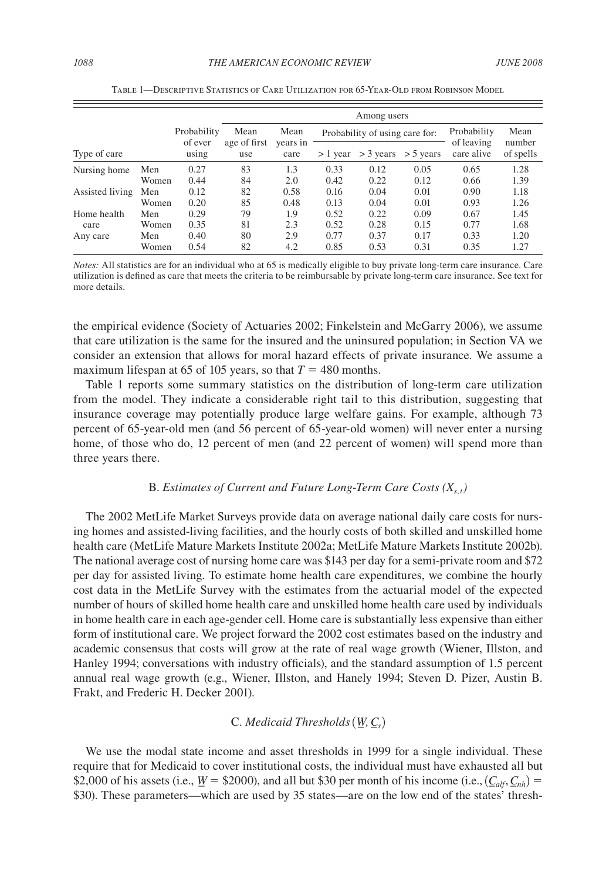|                     |       |                        | Among users          |                  |                                |                                    |      |                           |                |  |
|---------------------|-------|------------------------|----------------------|------------------|--------------------------------|------------------------------------|------|---------------------------|----------------|--|
|                     |       | Probability<br>of ever | Mean<br>age of first | Mean<br>years in | Probability of using care for: |                                    |      | Probability<br>of leaving | Mean<br>number |  |
| Type of care        |       | using                  | use                  | care             |                                | $> 1$ year $> 3$ years $> 5$ years |      | care alive                | of spells      |  |
| Nursing home        | Men   | 0.27                   | 83                   | 1.3              | 0.33                           | 0.12                               | 0.05 | 0.65                      | 1.28           |  |
|                     | Women | 0.44                   | 84                   | 2.0              | 0.42                           | 0.22                               | 0.12 | 0.66                      | 1.39           |  |
| Assisted living     | Men   | 0.12                   | 82                   | 0.58             | 0.16                           | 0.04                               | 0.01 | 0.90                      | 1.18           |  |
|                     | Women | 0.20                   | 85                   | 0.48             | 0.13                           | 0.04                               | 0.01 | 0.93                      | 1.26           |  |
| Home health<br>care | Men   | 0.29                   | 79                   | 1.9              | 0.52                           | 0.22                               | 0.09 | 0.67                      | 1.45           |  |
|                     | Women | 0.35                   | 81                   | 2.3              | 0.52                           | 0.28                               | 0.15 | 0.77                      | 1.68           |  |
| Any care            | Men   | 0.40                   | 80                   | 2.9              | 0.77                           | 0.37                               | 0.17 | 0.33                      | 1.20           |  |
|                     | Women | 0.54                   | 82                   | 4.2              | 0.85                           | 0.53                               | 0.31 | 0.35                      | 1.27           |  |

Table 1—Descriptive Statistics of Care Utilization for 65-Year-Old from Robinson Model

*Notes:* All statistics are for an individual who at 65 is medically eligible to buy private long-term care insurance. Care utilization is defined as care that meets the criteria to be reimbursable by private long-term care insurance. See text for more details.

the empirical evidence (Society of Actuaries 2002; Finkelstein and McGarry 2006), we assume that care utilization is the same for the insured and the uninsured population; in Section VA we consider an extension that allows for moral hazard effects of private insurance. We assume a maximum lifespan at 65 of 105 years, so that  $T = 480$  months.

Table 1 reports some summary statistics on the distribution of long-term care utilization from the model. They indicate a considerable right tail to this distribution, suggesting that insurance coverage may potentially produce large welfare gains. For example, although 73 percent of 65-year-old men (and 56 percent of 65-year-old women) will never enter a nursing home, of those who do, 12 percent of men (and 22 percent of women) will spend more than three years there.

# B. *Estimates of Current and Future Long-Term Care Costs (Xs*,*t)*

The 2002 MetLife Market Surveys provide data on average national daily care costs for nursing homes and assisted-living facilities, and the hourly costs of both skilled and unskilled home health care (MetLife Mature Markets Institute 2002a; MetLife Mature Markets Institute 2002b). The national average cost of nursing home care was \$143 per day for a semi-private room and \$72 per day for assisted living. To estimate home health care expenditures, we combine the hourly cost data in the MetLife Survey with the estimates from the actuarial model of the expected number of hours of skilled home health care and unskilled home health care used by individuals in home health care in each age-gender cell. Home care is substantially less expensive than either form of institutional care. We project forward the 2002 cost estimates based on the industry and academic consensus that costs will grow at the rate of real wage growth (Wiener, Illston, and Hanley 1994; conversations with industry officials), and the standard assumption of 1.5 percent annual real wage growth (e.g., Wiener, Illston, and Hanely 1994; Steven D. Pizer, Austin B. Frakt, and Frederic H. Decker 2001).

# C. *Medicaid Thresholds*  $(\underline{W}, \underline{C_s})$

We use the modal state income and asset thresholds in 1999 for a single individual. These require that for Medicaid to cover institutional costs, the individual must have exhausted all but \$2,000 of his assets (i.e.,  $\underline{W} =$  \$2000), and all but \$30 per month of his income (i.e.,  $(C_{\alpha l}, C_{n h}) =$ \$30). These parameters—which are used by 35 states—are on the low end of the states' thresh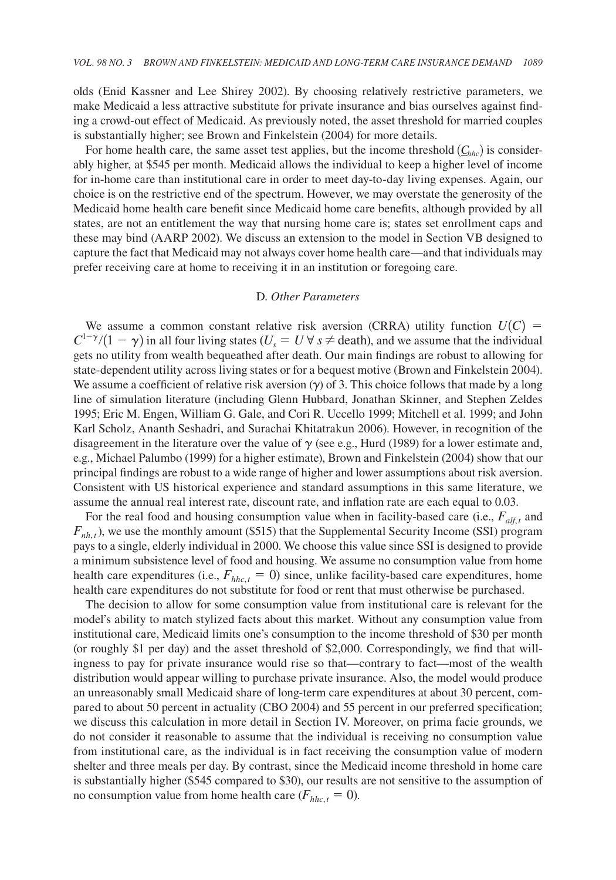olds (Enid Kassner and Lee Shirey 2002). By choosing relatively restrictive parameters, we make Medicaid a less attractive substitute for private insurance and bias ourselves against finding a crowd-out effect of Medicaid. As previously noted, the asset threshold for married couples is substantially higher; see Brown and Finkelstein (2004) for more details.

For home health care, the same asset test applies, but the income threshold  $(C_{hhc})$  is considerably higher, at \$545 per month. Medicaid allows the individual to keep a higher level of income for in-home care than institutional care in order to meet day-to-day living expenses. Again, our choice is on the restrictive end of the spectrum. However, we may overstate the generosity of the Medicaid home health care benefit since Medicaid home care benefits, although provided by all states, are not an entitlement the way that nursing home care is; states set enrollment caps and these may bind (AARP 2002). We discuss an extension to the model in Section VB designed to capture the fact that Medicaid may not always cover home health care—and that individuals may prefer receiving care at home to receiving it in an institution or foregoing care.

## D. *Other Parameters*

We assume a common constant relative risk aversion (CRRA) utility function  $U(C)$  =  $C^{1-\gamma}/(1-\gamma)$  in all four living states  $(U_s = U \forall s \neq \text{death})$ , and we assume that the individual gets no utility from wealth bequeathed after death. Our main findings are robust to allowing for state-dependent utility across living states or for a bequest motive (Brown and Finkelstein 2004). We assume a coefficient of relative risk aversion  $(\gamma)$  of 3. This choice follows that made by a long line of simulation literature (including Glenn Hubbard, Jonathan Skinner, and Stephen Zeldes 1995; Eric M. Engen, William G. Gale, and Cori R. Uccello 1999; Mitchell et al. 1999; and John Karl Scholz, Ananth Seshadri, and Surachai Khitatrakun 2006). However, in recognition of the disagreement in the literature over the value of  $\gamma$  (see e.g., Hurd (1989) for a lower estimate and, e.g., Michael Palumbo (1999) for a higher estimate), Brown and Finkelstein (2004) show that our principal findings are robust to a wide range of higher and lower assumptions about risk aversion. Consistent with US historical experience and standard assumptions in this same literature, we assume the annual real interest rate, discount rate, and inflation rate are each equal to 0.03.

For the real food and housing consumption value when in facility-based care (i.e., *Falf*,*<sup>t</sup>* and  $F_{nh,t}$ ), we use the monthly amount (\$515) that the Supplemental Security Income (SSI) program pays to a single, elderly individual in 2000. We choose this value since SSI is designed to provide a minimum subsistence level of food and housing. We assume no consumption value from home health care expenditures (i.e.,  $F_{hbc,t} = 0$ ) since, unlike facility-based care expenditures, home health care expenditures do not substitute for food or rent that must otherwise be purchased.

The decision to allow for some consumption value from institutional care is relevant for the model's ability to match stylized facts about this market. Without any consumption value from institutional care, Medicaid limits one's consumption to the income threshold of \$30 per month (or roughly \$1 per day) and the asset threshold of \$2,000. Correspondingly, we find that willingness to pay for private insurance would rise so that—contrary to fact—most of the wealth distribution would appear willing to purchase private insurance. Also, the model would produce an unreasonably small Medicaid share of long-term care expenditures at about 30 percent, compared to about 50 percent in actuality (CBO 2004) and 55 percent in our preferred specification; we discuss this calculation in more detail in Section IV. Moreover, on prima facie grounds, we do not consider it reasonable to assume that the individual is receiving no consumption value from institutional care, as the individual is in fact receiving the consumption value of modern shelter and three meals per day. By contrast, since the Medicaid income threshold in home care is substantially higher (\$545 compared to \$30), our results are not sensitive to the assumption of no consumption value from home health care  $(F_{hhc,t} = 0)$ .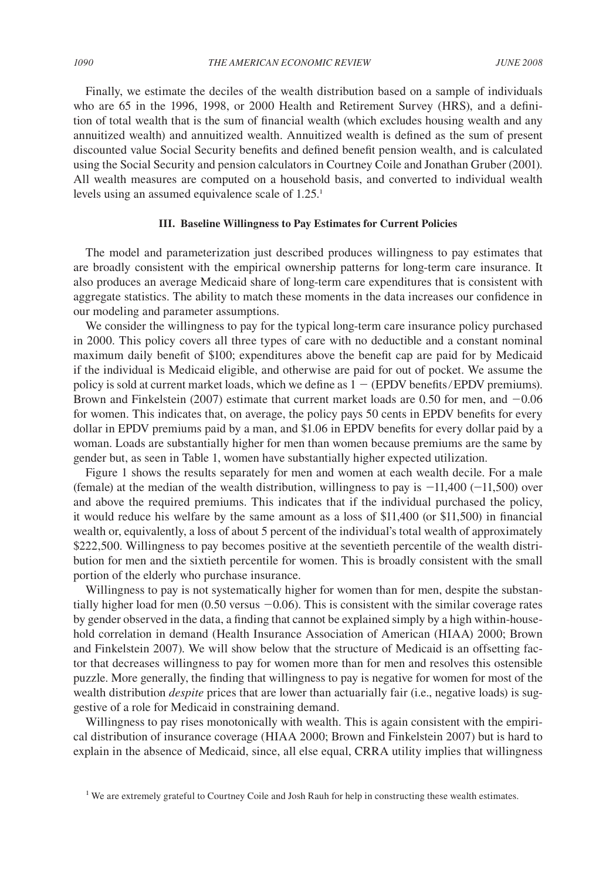Finally, we estimate the deciles of the wealth distribution based on a sample of individuals who are 65 in the 1996, 1998, or 2000 Health and Retirement Survey (HRS), and a definition of total wealth that is the sum of financial wealth (which excludes housing wealth and any annuitized wealth) and annuitized wealth. Annuitized wealth is defined as the sum of present discounted value Social Security benefits and defined benefit pension wealth, and is calculated using the Social Security and pension calculators in Courtney Coile and Jonathan Gruber (2001). All wealth measures are computed on a household basis, and converted to individual wealth levels using an assumed equivalence scale of 1.25.<sup>1</sup>

#### **III. Baseline Willingness to Pay Estimates for Current Policies**

The model and parameterization just described produces willingness to pay estimates that are broadly consistent with the empirical ownership patterns for long-term care insurance. It also produces an average Medicaid share of long-term care expenditures that is consistent with aggregate statistics. The ability to match these moments in the data increases our confidence in our modeling and parameter assumptions.

We consider the willingness to pay for the typical long-term care insurance policy purchased in 2000. This policy covers all three types of care with no deductible and a constant nominal maximum daily benefit of \$100; expenditures above the benefit cap are paid for by Medicaid if the individual is Medicaid eligible, and otherwise are paid for out of pocket. We assume the policy is sold at current market loads, which we define as  $1 - (EPDV$  benefits/EPDV premiums). Brown and Finkelstein (2007) estimate that current market loads are 0.50 for men, and  $-0.06$ for women. This indicates that, on average, the policy pays 50 cents in EPDV benefits for every dollar in EPDV premiums paid by a man, and \$1.06 in EPDV benefits for every dollar paid by a woman. Loads are substantially higher for men than women because premiums are the same by gender but, as seen in Table 1, women have substantially higher expected utilization.

Figure 1 shows the results separately for men and women at each wealth decile. For a male (female) at the median of the wealth distribution, willingness to pay is  $-11,400$  ( $-11,500$ ) over and above the required premiums. This indicates that if the individual purchased the policy, it would reduce his welfare by the same amount as a loss of \$11,400 (or \$11,500) in financial wealth or, equivalently, a loss of about 5 percent of the individual's total wealth of approximately \$222,500. Willingness to pay becomes positive at the seventieth percentile of the wealth distribution for men and the sixtieth percentile for women. This is broadly consistent with the small portion of the elderly who purchase insurance.

Willingness to pay is not systematically higher for women than for men, despite the substantially higher load for men  $(0.50 \text{ versus } -0.06)$ . This is consistent with the similar coverage rates by gender observed in the data, a finding that cannot be explained simply by a high within-household correlation in demand (Health Insurance Association of American (HIAA) 2000; Brown and Finkelstein 2007). We will show below that the structure of Medicaid is an offsetting factor that decreases willingness to pay for women more than for men and resolves this ostensible puzzle. More generally, the finding that willingness to pay is negative for women for most of the wealth distribution *despite* prices that are lower than actuarially fair (i.e., negative loads) is suggestive of a role for Medicaid in constraining demand.

Willingness to pay rises monotonically with wealth. This is again consistent with the empirical distribution of insurance coverage (HIAA 2000; Brown and Finkelstein 2007) but is hard to explain in the absence of Medicaid, since, all else equal, CRRA utility implies that willingness

<sup>&</sup>lt;sup>1</sup> We are extremely grateful to Courtney Coile and Josh Rauh for help in constructing these wealth estimates.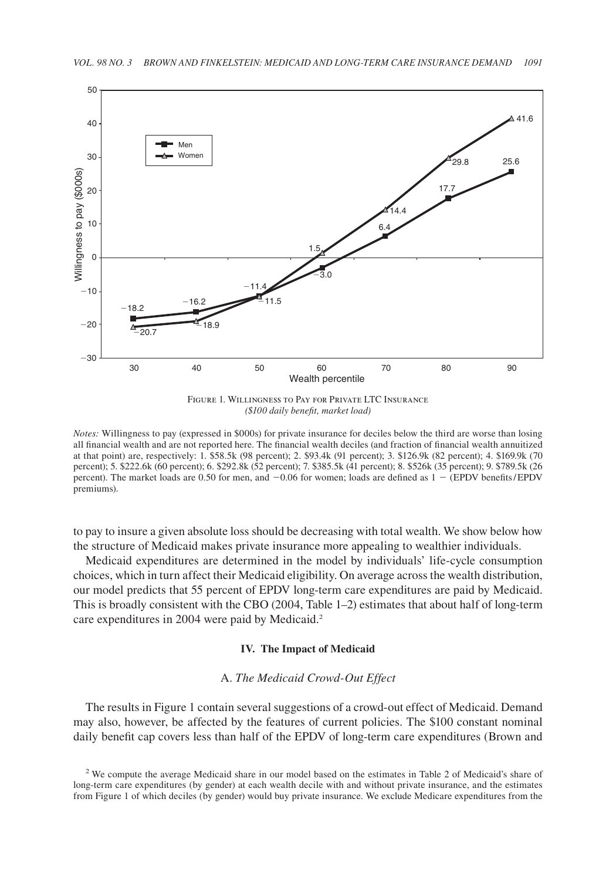

*(\$100 daily benefit, market load)*

*Notes:* Willingness to pay (expressed in \$000s) for private insurance for deciles below the third are worse than losing all financial wealth and are not reported here. The financial wealth deciles (and fraction of financial wealth annuitized at that point) are, respectively: 1. \$58.5k (98 percent); 2. \$93.4k (91 percent); 3. \$126.9k (82 percent); 4. \$169.9k (70 percent); 5. \$222.6k (60 percent); 6. \$292.8k (52 percent); 7. \$385.5k (41 percent); 8. \$526k (35 percent); 9. \$789.5k (26 percent). The market loads are 0.50 for men, and  $-0.06$  for women; loads are defined as  $1 - (EPDV$  benefits/EPDV premiums).

to pay to insure a given absolute loss should be decreasing with total wealth. We show below how the structure of Medicaid makes private insurance more appealing to wealthier individuals.

Medicaid expenditures are determined in the model by individuals' life-cycle consumption choices, which in turn affect their Medicaid eligibility. On average across the wealth distribution, our model predicts that 55 percent of EPDV long-term care expenditures are paid by Medicaid. This is broadly consistent with the CBO (2004, Table 1–2) estimates that about half of long-term care expenditures in 2004 were paid by Medicaid.<sup>2</sup>

### **IV. The Impact of Medicaid**

## A. *The Medicaid Crowd-Out Effect*

The results in Figure 1 contain several suggestions of a crowd-out effect of Medicaid. Demand may also, however, be affected by the features of current policies. The \$100 constant nominal daily benefit cap covers less than half of the EPDV of long-term care expenditures (Brown and

<sup>&</sup>lt;sup>2</sup> We compute the average Medicaid share in our model based on the estimates in Table 2 of Medicaid's share of long-term care expenditures (by gender) at each wealth decile with and without private insurance, and the estimates from Figure 1 of which deciles (by gender) would buy private insurance. We exclude Medicare expenditures from the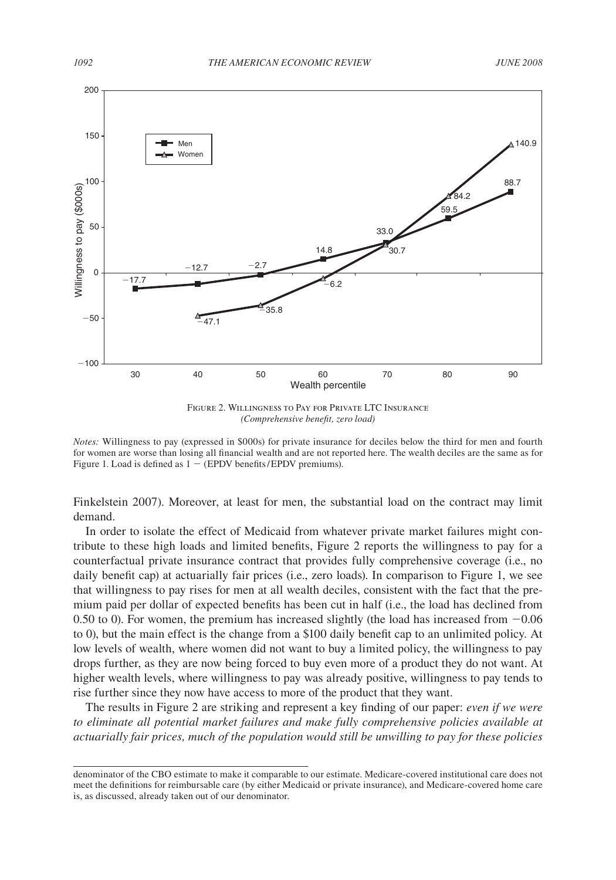

*(Comprehensive benefit, zero load)*

*Notes:* Willingness to pay (expressed in \$000s) for private insurance for deciles below the third for men and fourth for women are worse than losing all financial wealth and are not reported here. The wealth deciles are the same as for Figure 1. Load is defined as  $1 - (EPDV$  benefits/EPDV premiums).

Finkelstein 2007). Moreover, at least for men, the substantial load on the contract may limit demand.

In order to isolate the effect of Medicaid from whatever private market failures might contribute to these high loads and limited benefits, Figure 2 reports the willingness to pay for a counterfactual private insurance contract that provides fully comprehensive coverage (i.e., no daily benefit cap) at actuarially fair prices (i.e., zero loads). In comparison to Figure 1, we see that willingness to pay rises for men at all wealth deciles, consistent with the fact that the premium paid per dollar of expected benefits has been cut in half (i.e., the load has declined from 0.50 to 0). For women, the premium has increased slightly (the load has increased from  $-0.06$ to 0), but the main effect is the change from a \$100 daily benefit cap to an unlimited policy. At low levels of wealth, where women did not want to buy a limited policy, the willingness to pay drops further, as they are now being forced to buy even more of a product they do not want. At higher wealth levels, where willingness to pay was already positive, willingness to pay tends to rise further since they now have access to more of the product that they want.

The results in Figure 2 are striking and represent a key finding of our paper: *even if we were to eliminate all potential market failures and make fully comprehensive policies available at actuarially fair prices, much of the population would still be unwilling to pay for these policies* 

denominator of the CBO estimate to make it comparable to our estimate. Medicare-covered institutional care does not meet the definitions for reimbursable care (by either Medicaid or private insurance), and Medicare-covered home care is, as discussed, already taken out of our denominator.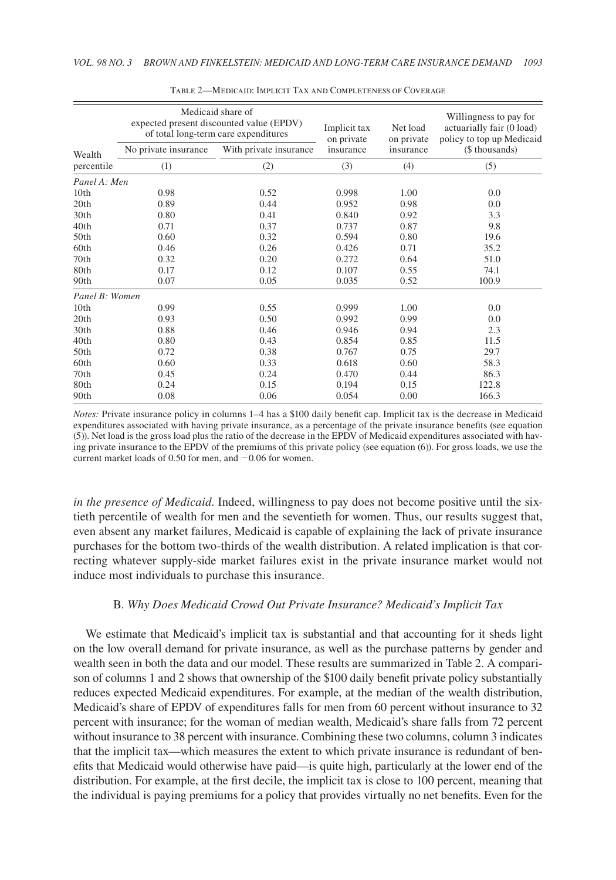|                |                      | Medicaid share of<br>expected present discounted value (EPDV)<br>of total long-term care expenditures | Implicit tax<br>on private | Net load<br>on private | Willingness to pay for<br>actuarially fair (0 load)<br>policy to top up Medicaid<br>(\$ thousands)<br>(5) |  |  |  |  |  |  |
|----------------|----------------------|-------------------------------------------------------------------------------------------------------|----------------------------|------------------------|-----------------------------------------------------------------------------------------------------------|--|--|--|--|--|--|
| Wealth         | No private insurance | With private insurance                                                                                | insurance                  | insurance              |                                                                                                           |  |  |  |  |  |  |
| percentile     | (1)                  | (2)                                                                                                   | (3)                        | (4)                    |                                                                                                           |  |  |  |  |  |  |
| Panel A: Men   |                      |                                                                                                       |                            |                        |                                                                                                           |  |  |  |  |  |  |
| 10th           | 0.98                 | 0.52                                                                                                  | 0.998                      | 1.00                   | 0.0                                                                                                       |  |  |  |  |  |  |
| 20th           | 0.89                 | 0.44                                                                                                  | 0.952                      | 0.98                   | 0.0                                                                                                       |  |  |  |  |  |  |
| 30th           | 0.80                 | 0.41                                                                                                  | 0.840                      | 0.92                   | 3.3                                                                                                       |  |  |  |  |  |  |
| 40th           | 0.71                 | 0.37                                                                                                  | 0.737                      | 0.87                   | 9.8                                                                                                       |  |  |  |  |  |  |
| 50th           | 0.60                 | 0.32                                                                                                  | 0.594                      | 0.80                   | 19.6                                                                                                      |  |  |  |  |  |  |
| 60th           | 0.46                 | 0.26                                                                                                  | 0.426                      | 0.71                   | 35.2                                                                                                      |  |  |  |  |  |  |
| 70th           | 0.32                 | 0.20                                                                                                  | 0.272                      | 0.64                   | 51.0                                                                                                      |  |  |  |  |  |  |
| 80th           | 0.17                 | 0.12                                                                                                  | 0.107                      | 0.55                   | 74.1                                                                                                      |  |  |  |  |  |  |
| 90th           | 0.07                 | 0.05                                                                                                  | 0.035                      | 0.52                   | 100.9                                                                                                     |  |  |  |  |  |  |
| Panel B: Women |                      |                                                                                                       |                            |                        |                                                                                                           |  |  |  |  |  |  |
| 10th           | 0.99                 | 0.55                                                                                                  | 0.999                      | 1.00                   | 0.0                                                                                                       |  |  |  |  |  |  |
| 20th           | 0.93                 | 0.50                                                                                                  | 0.992                      | 0.99                   | 0.0                                                                                                       |  |  |  |  |  |  |
| 30th           | 0.88                 | 0.46                                                                                                  | 0.946                      | 0.94                   | 2.3                                                                                                       |  |  |  |  |  |  |
| 40th           | 0.80                 | 0.43                                                                                                  | 0.854                      | 0.85                   | 11.5                                                                                                      |  |  |  |  |  |  |
| 50th           | 0.72                 | 0.38                                                                                                  | 0.767                      | 0.75                   | 29.7                                                                                                      |  |  |  |  |  |  |
| 60th           | 0.60                 | 0.33                                                                                                  | 0.618                      | 0.60                   | 58.3                                                                                                      |  |  |  |  |  |  |
| 70th           | 0.45                 | 0.24                                                                                                  | 0.470                      | 0.44                   | 86.3                                                                                                      |  |  |  |  |  |  |
| 80th           | 0.24                 | 0.15                                                                                                  | 0.194                      | 0.15                   | 122.8                                                                                                     |  |  |  |  |  |  |
| 90th           | 0.08                 | 0.06                                                                                                  | 0.054                      | 0.00                   | 166.3                                                                                                     |  |  |  |  |  |  |

Table 2—Medicaid: Implicit Tax and Completeness of Coverage

*Notes:* Private insurance policy in columns 1–4 has a \$100 daily benefit cap. Implicit tax is the decrease in Medicaid expenditures associated with having private insurance, as a percentage of the private insurance benefits (see equation (5)). Net load is the gross load plus the ratio of the decrease in the EPDV of Medicaid expenditures associated with having private insurance to the EPDV of the premiums of this private policy (see equation (6)). For gross loads, we use the current market loads of 0.50 for men, and  $-0.06$  for women.

*in the presence of Medicaid*. Indeed, willingness to pay does not become positive until the sixtieth percentile of wealth for men and the seventieth for women. Thus, our results suggest that, even absent any market failures, Medicaid is capable of explaining the lack of private insurance purchases for the bottom two-thirds of the wealth distribution. A related implication is that correcting whatever supply-side market failures exist in the private insurance market would not induce most individuals to purchase this insurance.

## B. *Why Does Medicaid Crowd Out Private Insurance? Medicaid's Implicit Tax*

We estimate that Medicaid's implicit tax is substantial and that accounting for it sheds light on the low overall demand for private insurance, as well as the purchase patterns by gender and wealth seen in both the data and our model. These results are summarized in Table 2. A comparison of columns 1 and 2 shows that ownership of the \$100 daily benefit private policy substantially reduces expected Medicaid expenditures. For example, at the median of the wealth distribution, Medicaid's share of EPDV of expenditures falls for men from 60 percent without insurance to 32 percent with insurance; for the woman of median wealth, Medicaid's share falls from 72 percent without insurance to 38 percent with insurance. Combining these two columns, column 3 indicates that the implicit tax—which measures the extent to which private insurance is redundant of benefits that Medicaid would otherwise have paid—is quite high, particularly at the lower end of the distribution. For example, at the first decile, the implicit tax is close to 100 percent, meaning that the individual is paying premiums for a policy that provides virtually no net benefits. Even for the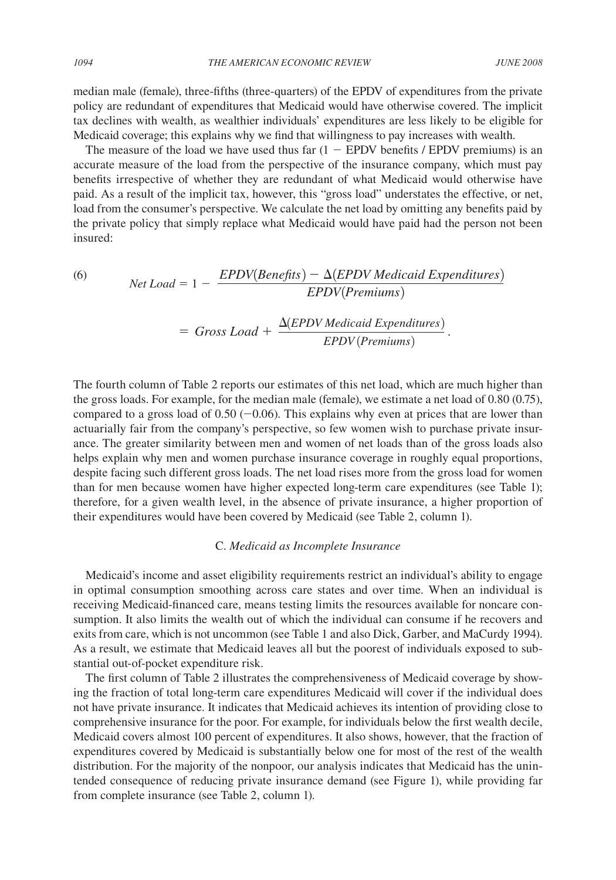median male (female), three-fifths (three-quarters) of the EPDV of expenditures from the private policy are redundant of expenditures that Medicaid would have otherwise covered. The implicit tax declines with wealth, as wealthier individuals' expenditures are less likely to be eligible for Medicaid coverage; this explains why we find that willingness to pay increases with wealth.

The measure of the load we have used thus far  $(1 - EPDV$  benefits / EPDV premiums) is an accurate measure of the load from the perspective of the insurance company, which must pay benefits irrespective of whether they are redundant of what Medicaid would otherwise have paid. As a result of the implicit tax, however, this "gross load" understates the effective, or net, load from the consumer's perspective. We calculate the net load by omitting any benefits paid by the private policy that simply replace what Medicaid would have paid had the person not been insured:

(6) 
$$
Net Load = 1 - \frac{EPDV(Benefits) - \Delta(EPDV Medical Expenditures)}{EPDV(Premiums)}
$$

$$
= Gross Load + \frac{\Delta(EPDV Medical Expenditures)}{EPDV(Premiums)}.
$$

The fourth column of Table 2 reports our estimates of this net load, which are much higher than the gross loads. For example, for the median male (female), we estimate a net load of 0.80 (0.75), compared to a gross load of 0.50 ( $-0.06$ ). This explains why even at prices that are lower than actuarially fair from the company's perspective, so few women wish to purchase private insurance. The greater similarity between men and women of net loads than of the gross loads also helps explain why men and women purchase insurance coverage in roughly equal proportions, despite facing such different gross loads. The net load rises more from the gross load for women than for men because women have higher expected long-term care expenditures (see Table 1); therefore, for a given wealth level, in the absence of private insurance, a higher proportion of their expenditures would have been covered by Medicaid (see Table 2, column 1).

## C. *Medicaid as Incomplete Insurance*

Medicaid's income and asset eligibility requirements restrict an individual's ability to engage in optimal consumption smoothing across care states and over time. When an individual is receiving Medicaid-financed care, means testing limits the resources available for noncare consumption. It also limits the wealth out of which the individual can consume if he recovers and exits from care, which is not uncommon (see Table 1 and also Dick, Garber, and MaCurdy 1994). As a result, we estimate that Medicaid leaves all but the poorest of individuals exposed to substantial out-of-pocket expenditure risk.

The first column of Table 2 illustrates the comprehensiveness of Medicaid coverage by showing the fraction of total long-term care expenditures Medicaid will cover if the individual does not have private insurance. It indicates that Medicaid achieves its intention of providing close to comprehensive insurance for the poor. For example, for individuals below the first wealth decile, Medicaid covers almost 100 percent of expenditures. It also shows, however, that the fraction of expenditures covered by Medicaid is substantially below one for most of the rest of the wealth distribution. For the majority of the nonpoor, our analysis indicates that Medicaid has the unintended consequence of reducing private insurance demand (see Figure 1), while providing far from complete insurance (see Table 2, column 1).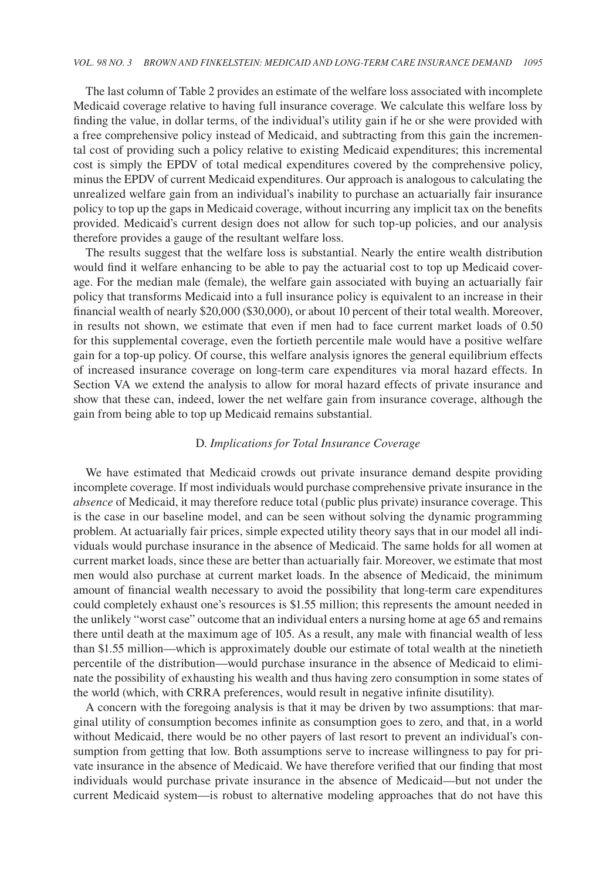The last column of Table 2 provides an estimate of the welfare loss associated with incomplete Medicaid coverage relative to having full insurance coverage. We calculate this welfare loss by finding the value, in dollar terms, of the individual's utility gain if he or she were provided with a free comprehensive policy instead of Medicaid, and subtracting from this gain the incremental cost of providing such a policy relative to existing Medicaid expenditures; this incremental cost is simply the EPDV of total medical expenditures covered by the comprehensive policy, minus the EPDV of current Medicaid expenditures. Our approach is analogous to calculating the unrealized welfare gain from an individual's inability to purchase an actuarially fair insurance policy to top up the gaps in Medicaid coverage, without incurring any implicit tax on the benefits provided. Medicaid's current design does not allow for such top-up policies, and our analysis therefore provides a gauge of the resultant welfare loss.

The results suggest that the welfare loss is substantial. Nearly the entire wealth distribution would find it welfare enhancing to be able to pay the actuarial cost to top up Medicaid coverage. For the median male (female), the welfare gain associated with buying an actuarially fair policy that transforms Medicaid into a full insurance policy is equivalent to an increase in their financial wealth of nearly \$20,000 (\$30,000), or about 10 percent of their total wealth. Moreover, in results not shown, we estimate that even if men had to face current market loads of 0.50 for this supplemental coverage, even the fortieth percentile male would have a positive welfare gain for a top-up policy. Of course, this welfare analysis ignores the general equilibrium effects of increased insurance coverage on long-term care expenditures via moral hazard effects. In Section VA we extend the analysis to allow for moral hazard effects of private insurance and show that these can, indeed, lower the net welfare gain from insurance coverage, although the gain from being able to top up Medicaid remains substantial.

# D. *Implications for Total Insurance Coverage*

We have estimated that Medicaid crowds out private insurance demand despite providing incomplete coverage. If most individuals would purchase comprehensive private insurance in the *absence* of Medicaid, it may therefore reduce total (public plus private) insurance coverage. This is the case in our baseline model, and can be seen without solving the dynamic programming problem. At actuarially fair prices, simple expected utility theory says that in our model all individuals would purchase insurance in the absence of Medicaid. The same holds for all women at current market loads, since these are better than actuarially fair. Moreover, we estimate that most men would also purchase at current market loads. In the absence of Medicaid, the minimum amount of financial wealth necessary to avoid the possibility that long-term care expenditures could completely exhaust one's resources is \$1.55 million; this represents the amount needed in the unlikely "worst case" outcome that an individual enters a nursing home at age 65 and remains there until death at the maximum age of 105. As a result, any male with financial wealth of less than \$1.55 million—which is approximately double our estimate of total wealth at the ninetieth percentile of the distribution—would purchase insurance in the absence of Medicaid to eliminate the possibility of exhausting his wealth and thus having zero consumption in some states of the world (which, with CRRA preferences, would result in negative infinite disutility).

A concern with the foregoing analysis is that it may be driven by two assumptions: that marginal utility of consumption becomes infinite as consumption goes to zero, and that, in a world without Medicaid, there would be no other payers of last resort to prevent an individual's consumption from getting that low. Both assumptions serve to increase willingness to pay for private insurance in the absence of Medicaid. We have therefore verified that our finding that most individuals would purchase private insurance in the absence of Medicaid—but not under the current Medicaid system—is robust to alternative modeling approaches that do not have this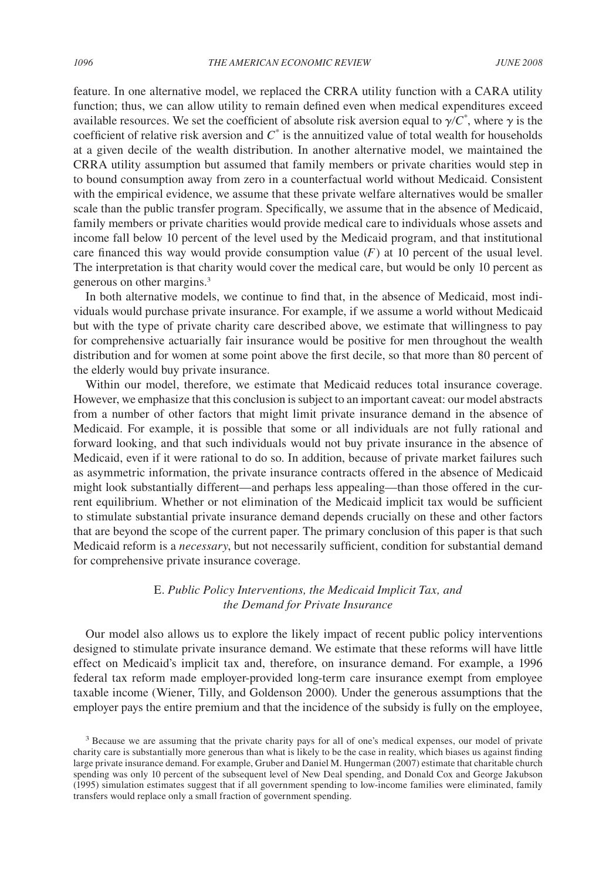feature. In one alternative model, we replaced the CRRA utility function with a CARA utility function; thus, we can allow utility to remain defined even when medical expenditures exceed available resources. We set the coefficient of absolute risk aversion equal to  $\gamma/C^*$ , where  $\gamma$  is the coefficient of relative risk aversion and *C*\* is the annuitized value of total wealth for households at a given decile of the wealth distribution. In another alternative model, we maintained the CRRA utility assumption but assumed that family members or private charities would step in to bound consumption away from zero in a counterfactual world without Medicaid. Consistent with the empirical evidence, we assume that these private welfare alternatives would be smaller scale than the public transfer program. Specifically, we assume that in the absence of Medicaid, family members or private charities would provide medical care to individuals whose assets and income fall below 10 percent of the level used by the Medicaid program, and that institutional care financed this way would provide consumption value  $(F)$  at 10 percent of the usual level. The interpretation is that charity would cover the medical care, but would be only 10 percent as generous on other margins.3

In both alternative models, we continue to find that, in the absence of Medicaid, most individuals would purchase private insurance. For example, if we assume a world without Medicaid but with the type of private charity care described above, we estimate that willingness to pay for comprehensive actuarially fair insurance would be positive for men throughout the wealth distribution and for women at some point above the first decile, so that more than 80 percent of the elderly would buy private insurance.

Within our model, therefore, we estimate that Medicaid reduces total insurance coverage. However, we emphasize that this conclusion is subject to an important caveat: our model abstracts from a number of other factors that might limit private insurance demand in the absence of Medicaid. For example, it is possible that some or all individuals are not fully rational and forward looking, and that such individuals would not buy private insurance in the absence of Medicaid, even if it were rational to do so. In addition, because of private market failures such as asymmetric information, the private insurance contracts offered in the absence of Medicaid might look substantially different—and perhaps less appealing—than those offered in the current equilibrium. Whether or not elimination of the Medicaid implicit tax would be sufficient to stimulate substantial private insurance demand depends crucially on these and other factors that are beyond the scope of the current paper. The primary conclusion of this paper is that such Medicaid reform is a *necessary*, but not necessarily sufficient, condition for substantial demand for comprehensive private insurance coverage.

# E. *Public Policy Interventions, the Medicaid Implicit Tax, and the Demand for Private Insurance*

Our model also allows us to explore the likely impact of recent public policy interventions designed to stimulate private insurance demand. We estimate that these reforms will have little effect on Medicaid's implicit tax and, therefore, on insurance demand. For example, a 1996 federal tax reform made employer-provided long-term care insurance exempt from employee taxable income (Wiener, Tilly, and Goldenson 2000). Under the generous assumptions that the employer pays the entire premium and that the incidence of the subsidy is fully on the employee,

<sup>&</sup>lt;sup>3</sup> Because we are assuming that the private charity pays for all of one's medical expenses, our model of private charity care is substantially more generous than what is likely to be the case in reality, which biases us against finding large private insurance demand. For example, Gruber and Daniel M. Hungerman (2007) estimate that charitable church spending was only 10 percent of the subsequent level of New Deal spending, and Donald Cox and George Jakubson (1995) simulation estimates suggest that if all government spending to low-income families were eliminated, family transfers would replace only a small fraction of government spending.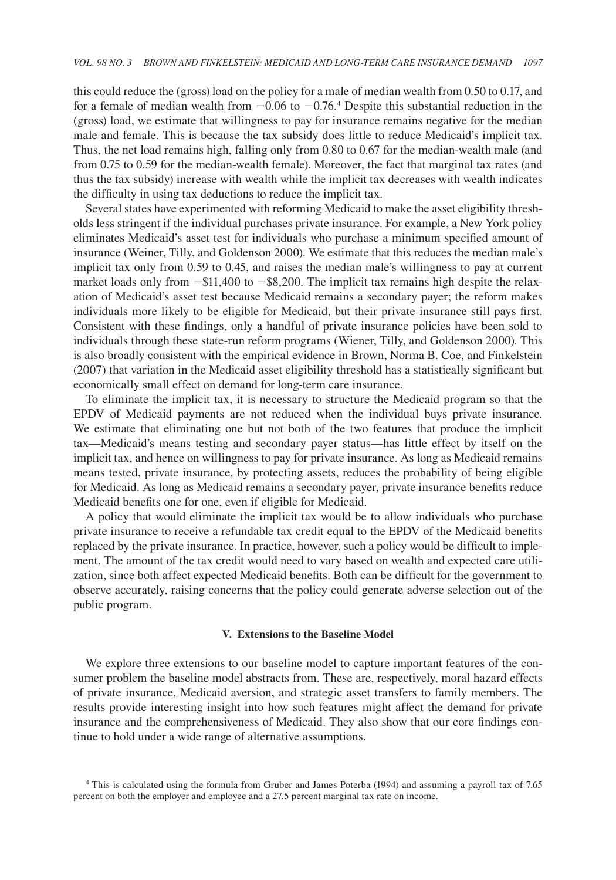this could reduce the (gross) load on the policy for a male of median wealth from 0.50 to 0.17, and for a female of median wealth from  $-0.06$  to  $-0.76$ .<sup>4</sup> Despite this substantial reduction in the (gross) load, we estimate that willingness to pay for insurance remains negative for the median male and female. This is because the tax subsidy does little to reduce Medicaid's implicit tax. Thus, the net load remains high, falling only from 0.80 to 0.67 for the median-wealth male (and from 0.75 to 0.59 for the median-wealth female). Moreover, the fact that marginal tax rates (and thus the tax subsidy) increase with wealth while the implicit tax decreases with wealth indicates the difficulty in using tax deductions to reduce the implicit tax.

Several states have experimented with reforming Medicaid to make the asset eligibility thresholds less stringent if the individual purchases private insurance. For example, a New York policy eliminates Medicaid's asset test for individuals who purchase a minimum specified amount of insurance (Weiner, Tilly, and Goldenson 2000). We estimate that this reduces the median male's implicit tax only from 0.59 to 0.45, and raises the median male's willingness to pay at current market loads only from  $-\$11,400$  to  $-\$8,200$ . The implicit tax remains high despite the relaxation of Medicaid's asset test because Medicaid remains a secondary payer; the reform makes individuals more likely to be eligible for Medicaid, but their private insurance still pays first. Consistent with these findings, only a handful of private insurance policies have been sold to individuals through these state-run reform programs (Wiener, Tilly, and Goldenson 2000). This is also broadly consistent with the empirical evidence in Brown, Norma B. Coe, and Finkelstein (2007) that variation in the Medicaid asset eligibility threshold has a statistically significant but economically small effect on demand for long-term care insurance.

To eliminate the implicit tax, it is necessary to structure the Medicaid program so that the EPDV of Medicaid payments are not reduced when the individual buys private insurance. We estimate that eliminating one but not both of the two features that produce the implicit tax—Medicaid's means testing and secondary payer status—has little effect by itself on the implicit tax, and hence on willingness to pay for private insurance. As long as Medicaid remains means tested, private insurance, by protecting assets, reduces the probability of being eligible for Medicaid. As long as Medicaid remains a secondary payer, private insurance benefits reduce Medicaid benefits one for one, even if eligible for Medicaid.

A policy that would eliminate the implicit tax would be to allow individuals who purchase private insurance to receive a refundable tax credit equal to the EPDV of the Medicaid benefits replaced by the private insurance. In practice, however, such a policy would be difficult to implement. The amount of the tax credit would need to vary based on wealth and expected care utilization, since both affect expected Medicaid benefits. Both can be difficult for the government to observe accurately, raising concerns that the policy could generate adverse selection out of the public program.

## **V. Extensions to the Baseline Model**

We explore three extensions to our baseline model to capture important features of the consumer problem the baseline model abstracts from. These are, respectively, moral hazard effects of private insurance, Medicaid aversion, and strategic asset transfers to family members. The results provide interesting insight into how such features might affect the demand for private insurance and the comprehensiveness of Medicaid. They also show that our core findings continue to hold under a wide range of alternative assumptions.

<sup>4</sup> This is calculated using the formula from Gruber and James Poterba (1994) and assuming a payroll tax of 7.65 percent on both the employer and employee and a 27.5 percent marginal tax rate on income.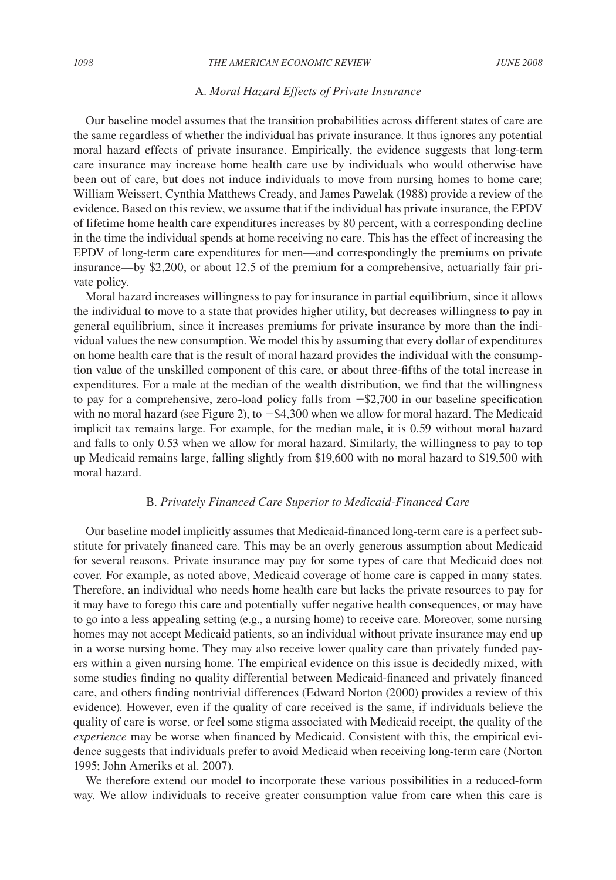#### A. *Moral Hazard Effects of Private Insurance*

Our baseline model assumes that the transition probabilities across different states of care are the same regardless of whether the individual has private insurance. It thus ignores any potential moral hazard effects of private insurance. Empirically, the evidence suggests that long-term care insurance may increase home health care use by individuals who would otherwise have been out of care, but does not induce individuals to move from nursing homes to home care; William Weissert, Cynthia Matthews Cready, and James Pawelak (1988) provide a review of the evidence. Based on this review, we assume that if the individual has private insurance, the EPDV of lifetime home health care expenditures increases by 80 percent, with a corresponding decline in the time the individual spends at home receiving no care. This has the effect of increasing the EPDV of long-term care expenditures for men—and correspondingly the premiums on private insurance—by \$2,200, or about 12.5 of the premium for a comprehensive, actuarially fair private policy.

Moral hazard increases willingness to pay for insurance in partial equilibrium, since it allows the individual to move to a state that provides higher utility, but decreases willingness to pay in general equilibrium, since it increases premiums for private insurance by more than the individual values the new consumption. We model this by assuming that every dollar of expenditures on home health care that is the result of moral hazard provides the individual with the consumption value of the unskilled component of this care, or about three-fifths of the total increase in expenditures. For a male at the median of the wealth distribution, we find that the willingness to pay for a comprehensive, zero-load policy falls from  $-\frac{2}{2}$ ,700 in our baseline specification with no moral hazard (see Figure 2), to  $-$ \$4,300 when we allow for moral hazard. The Medicaid implicit tax remains large. For example, for the median male, it is 0.59 without moral hazard and falls to only 0.53 when we allow for moral hazard. Similarly, the willingness to pay to top up Medicaid remains large, falling slightly from \$19,600 with no moral hazard to \$19,500 with moral hazard.

# B. *Privately Financed Care Superior to Medicaid-Financed Care*

Our baseline model implicitly assumes that Medicaid-financed long-term care is a perfect substitute for privately financed care. This may be an overly generous assumption about Medicaid for several reasons. Private insurance may pay for some types of care that Medicaid does not cover. For example, as noted above, Medicaid coverage of home care is capped in many states. Therefore, an individual who needs home health care but lacks the private resources to pay for it may have to forego this care and potentially suffer negative health consequences, or may have to go into a less appealing setting (e.g., a nursing home) to receive care. Moreover, some nursing homes may not accept Medicaid patients, so an individual without private insurance may end up in a worse nursing home. They may also receive lower quality care than privately funded payers within a given nursing home. The empirical evidence on this issue is decidedly mixed, with some studies finding no quality differential between Medicaid-financed and privately financed care, and others finding nontrivial differences (Edward Norton (2000) provides a review of this evidence). However, even if the quality of care received is the same, if individuals believe the quality of care is worse, or feel some stigma associated with Medicaid receipt, the quality of the *experience* may be worse when financed by Medicaid. Consistent with this, the empirical evidence suggests that individuals prefer to avoid Medicaid when receiving long-term care (Norton 1995; John Ameriks et al. 2007).

We therefore extend our model to incorporate these various possibilities in a reduced-form way. We allow individuals to receive greater consumption value from care when this care is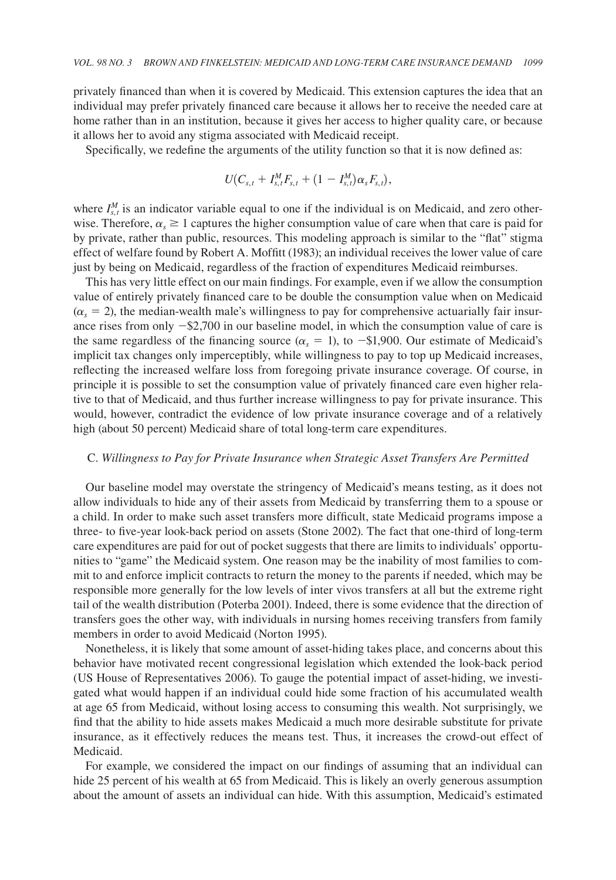privately financed than when it is covered by Medicaid. This extension captures the idea that an individual may prefer privately financed care because it allows her to receive the needed care at home rather than in an institution, because it gives her access to higher quality care, or because it allows her to avoid any stigma associated with Medicaid receipt.

Specifically, we redefine the arguments of the utility function so that it is now defined as:

$$
U(C_{s,t} + I_{s,t}^M F_{s,t} + (1 - I_{s,t}^M) \alpha_s F_{s,t}),
$$

where  $I_{s,t}^M$  is an indicator variable equal to one if the individual is on Medicaid, and zero otherwise. Therefore,  $\alpha_s \geq 1$  captures the higher consumption value of care when that care is paid for by private, rather than public, resources. This modeling approach is similar to the "flat" stigma effect of welfare found by Robert A. Moffitt (1983); an individual receives the lower value of care just by being on Medicaid, regardless of the fraction of expenditures Medicaid reimburses.

This has very little effect on our main findings. For example, even if we allow the consumption value of entirely privately financed care to be double the consumption value when on Medicaid  $(\alpha_s = 2)$ , the median-wealth male's willingness to pay for comprehensive actuarially fair insurance rises from only  $-$ \$2,700 in our baseline model, in which the consumption value of care is the same regardless of the financing source ( $\alpha_s = 1$ ), to -\$1,900. Our estimate of Medicaid's implicit tax changes only imperceptibly, while willingness to pay to top up Medicaid increases, reflecting the increased welfare loss from foregoing private insurance coverage. Of course, in principle it is possible to set the consumption value of privately financed care even higher relative to that of Medicaid, and thus further increase willingness to pay for private insurance. This would, however, contradict the evidence of low private insurance coverage and of a relatively high (about 50 percent) Medicaid share of total long-term care expenditures.

## C. *Willingness to Pay for Private Insurance when Strategic Asset Transfers Are Permitted*

Our baseline model may overstate the stringency of Medicaid's means testing, as it does not allow individuals to hide any of their assets from Medicaid by transferring them to a spouse or a child. In order to make such asset transfers more difficult, state Medicaid programs impose a three- to five-year look-back period on assets (Stone 2002). The fact that one-third of long-term care expenditures are paid for out of pocket suggests that there are limits to individuals' opportunities to "game" the Medicaid system. One reason may be the inability of most families to commit to and enforce implicit contracts to return the money to the parents if needed, which may be responsible more generally for the low levels of inter vivos transfers at all but the extreme right tail of the wealth distribution (Poterba 2001). Indeed, there is some evidence that the direction of transfers goes the other way, with individuals in nursing homes receiving transfers from family members in order to avoid Medicaid (Norton 1995).

Nonetheless, it is likely that some amount of asset-hiding takes place, and concerns about this behavior have motivated recent congressional legislation which extended the look-back period (US House of Representatives 2006). To gauge the potential impact of asset-hiding, we investigated what would happen if an individual could hide some fraction of his accumulated wealth at age 65 from Medicaid, without losing access to consuming this wealth. Not surprisingly, we find that the ability to hide assets makes Medicaid a much more desirable substitute for private insurance, as it effectively reduces the means test. Thus, it increases the crowd-out effect of Medicaid.

For example, we considered the impact on our findings of assuming that an individual can hide 25 percent of his wealth at 65 from Medicaid. This is likely an overly generous assumption about the amount of assets an individual can hide. With this assumption, Medicaid's estimated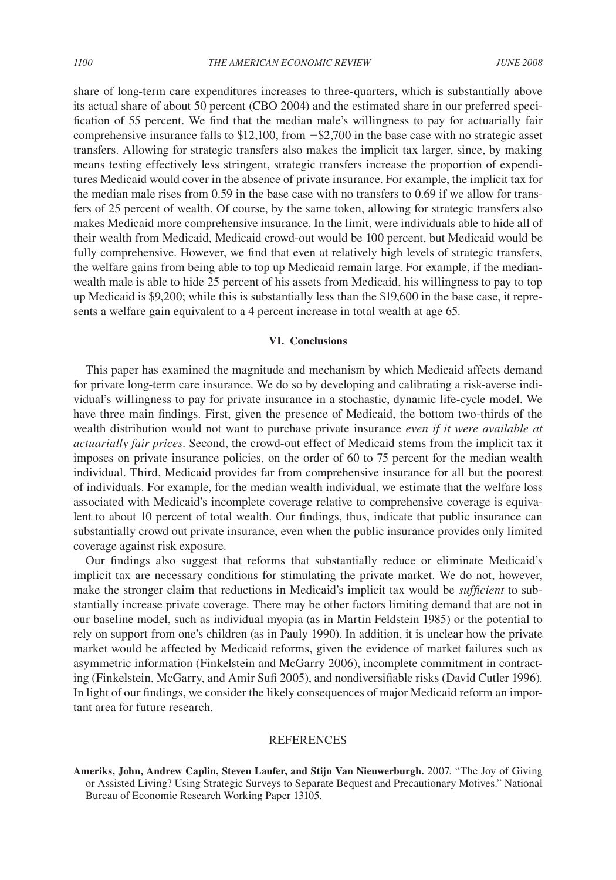share of long-term care expenditures increases to three-quarters, which is substantially above its actual share of about 50 percent (CBO 2004) and the estimated share in our preferred specification of 55 percent. We find that the median male's willingness to pay for actuarially fair comprehensive insurance falls to  $$12,100$ , from  $$2,700$  in the base case with no strategic asset transfers. Allowing for strategic transfers also makes the implicit tax larger, since, by making means testing effectively less stringent, strategic transfers increase the proportion of expenditures Medicaid would cover in the absence of private insurance. For example, the implicit tax for the median male rises from 0.59 in the base case with no transfers to 0.69 if we allow for transfers of 25 percent of wealth. Of course, by the same token, allowing for strategic transfers also makes Medicaid more comprehensive insurance. In the limit, were individuals able to hide all of their wealth from Medicaid, Medicaid crowd-out would be 100 percent, but Medicaid would be fully comprehensive. However, we find that even at relatively high levels of strategic transfers, the welfare gains from being able to top up Medicaid remain large. For example, if the medianwealth male is able to hide 25 percent of his assets from Medicaid, his willingness to pay to top up Medicaid is \$9,200; while this is substantially less than the \$19,600 in the base case, it represents a welfare gain equivalent to a 4 percent increase in total wealth at age 65.

#### **VI. Conclusions**

This paper has examined the magnitude and mechanism by which Medicaid affects demand for private long-term care insurance. We do so by developing and calibrating a risk-averse individual's willingness to pay for private insurance in a stochastic, dynamic life-cycle model. We have three main findings. First, given the presence of Medicaid, the bottom two-thirds of the wealth distribution would not want to purchase private insurance *even if it were available at actuarially fair prices*. Second, the crowd-out effect of Medicaid stems from the implicit tax it imposes on private insurance policies, on the order of 60 to 75 percent for the median wealth individual. Third, Medicaid provides far from comprehensive insurance for all but the poorest of individuals. For example, for the median wealth individual, we estimate that the welfare loss associated with Medicaid's incomplete coverage relative to comprehensive coverage is equivalent to about 10 percent of total wealth. Our findings, thus, indicate that public insurance can substantially crowd out private insurance, even when the public insurance provides only limited coverage against risk exposure.

Our findings also suggest that reforms that substantially reduce or eliminate Medicaid's implicit tax are necessary conditions for stimulating the private market. We do not, however, make the stronger claim that reductions in Medicaid's implicit tax would be *sufficient* to substantially increase private coverage. There may be other factors limiting demand that are not in our baseline model, such as individual myopia (as in Martin Feldstein 1985) or the potential to rely on support from one's children (as in Pauly 1990). In addition, it is unclear how the private market would be affected by Medicaid reforms, given the evidence of market failures such as asymmetric information (Finkelstein and McGarry 2006), incomplete commitment in contracting (Finkelstein, McGarry, and Amir Sufi 2005), and nondiversifiable risks (David Cutler 1996). In light of our findings, we consider the likely consequences of major Medicaid reform an important area for future research.

## REFERENCES

**Ameriks, John, Andrew Caplin, Steven Laufer, and Stijn Van Nieuwerburgh.** 2007. "The Joy of Giving or Assisted Living? Using Strategic Surveys to Separate Bequest and Precautionary Motives." National Bureau of Economic Research Working Paper 13105.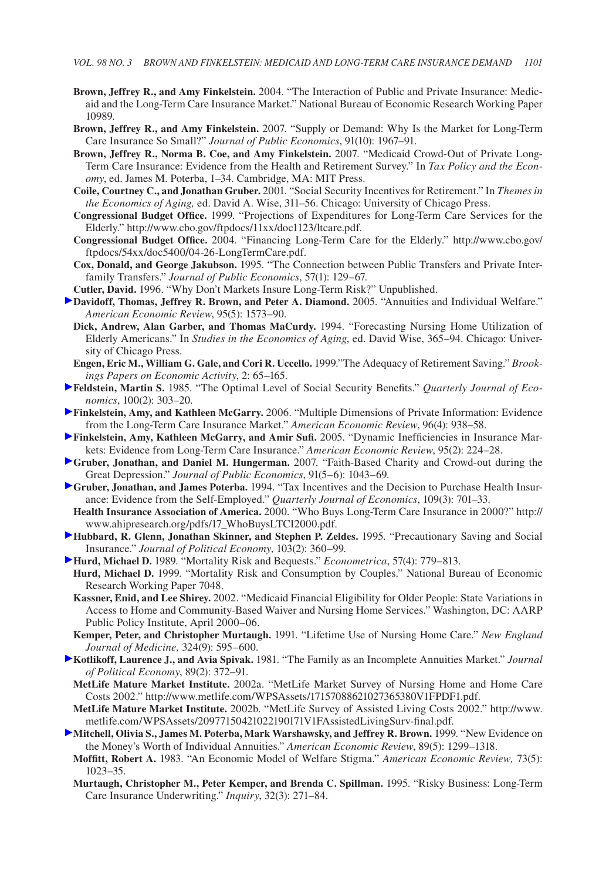- **Brown, Jeffrey R., and Amy Finkelstein.** 2004. "The Interaction of Public and Private Insurance: Medicaid and the Long-Term Care Insurance Market." National Bureau of Economic Research Working Paper 10989.
- **Brown, Jeffrey R., and Amy Finkelstein.** 2007. "Supply or Demand: Why Is the Market for Long-Term Care Insurance So Small?" *Journal of Public Economics*, 91(10): 1967–91.
- **Brown, Jeffrey R., Norma B. Coe, and Amy Finkelstein.** 2007. "Medicaid Crowd-Out of Private Long-Term Care Insurance: Evidence from the Health and Retirement Survey." In *Tax Policy and the Economy*, ed. James M. Poterba, 1–34. Cambridge, MA: MIT Press.
- **Coile, Courtney C., and Jonathan Gruber.** 2001. "Social Security Incentives for Retirement." In *Themes in the Economics of Aging,* ed. David A. Wise, 311–56. Chicago: University of Chicago Press.
- **Congressional Budget Office.** 1999. "Projections of Expenditures for Long-Term Care Services for the Elderly." http://www.cbo.gov/ftpdocs/11xx/doc1123/ltcare.pdf.
- **Congressional Budget Office.** 2004. "Financing Long-Term Care for the Elderly." http://www.cbo.gov/ ftpdocs/54xx/doc5400/04-26-LongTermCare.pdf.
- **Cox, Donald, and George Jakubson.** 1995. "The Connection between Public Transfers and Private Interfamily Transfers." *Journal of Public Economics*, 57(1): 129–67.
- **Cutler, David.** 1996. "Why Don't Markets Insure Long-Term Risk?" Unpublished.
- **Davidoff, Thomas, Jeffrey R. Brown, and Peter A. Diamond.** 2005. "Annuities and Individual Welfare." *American Economic Review*, 95(5): 1573–90.
	- **Dick, Andrew, Alan Garber, and Thomas MaCurdy.** 1994. "Forecasting Nursing Home Utilization of Elderly Americans." In *Studies in the Economics of Aging*, ed. David Wise, 365–94. Chicago: University of Chicago Press.
- **Engen, Eric M., William G. Gale, and Cori R. Uccello.** 1999."The Adequacy of Retirement Saving." *Brookings Papers on Economic Activity*, 2: 65–165.
- **Feldstein, Martin S.** 1985. "The Optimal Level of Social Security Benefits." *Quarterly Journal of Economics*, 100(2): 303–20.
- **Finkelstein, Amy, and Kathleen McGarry.** 2006. "Multiple Dimensions of Private Information: Evidence from the Long-Term Care Insurance Market." *American Economic Review*, 96(4): 938–58.
- **Finkelstein, Amy, Kathleen McGarry, and Amir Sufi.** 2005. "Dynamic Inefficiencies in Insurance Markets: Evidence from Long-Term Care Insurance." *American Economic Review*, 95(2): 224–28.
- **Gruber, Jonathan, and Daniel M. Hungerman.** 2007. "Faith-Based Charity and Crowd-out during the Great Depression." *Journal of Public Economics*, 91(5–6): 1043–69.
- **Gruber, Jonathan, and James Poterba.** 1994. "Tax Incentives and the Decision to Purchase Health Insurance: Evidence from the Self-Employed." *Quarterly Journal of Economics*, 109(3): 701–33.
- **Health Insurance Association of America.** 2000. "Who Buys Long-Term Care Insurance in 2000?" http:// www.ahipresearch.org/pdfs/17\_WhoBuysLTCI2000.pdf.
- **Hubbard, R. Glenn, Jonathan Skinner, and Stephen P. Zeldes.** 1995. "Precautionary Saving and Social Insurance." *Journal of Political Economy*, 103(2): 360–99.
- **Hurd, Michael D.** 1989. "Mortality Risk and Bequests." *Econometrica*, 57(4): 779–813.
- **Hurd, Michael D.** 1999. "Mortality Risk and Consumption by Couples." National Bureau of Economic Research Working Paper 7048.
- **Kassner, Enid, and Lee Shirey.** 2002. "Medicaid Financial Eligibility for Older People: State Variations in Access to Home and Community-Based Waiver and Nursing Home Services." Washington, DC: AARP Public Policy Institute, April 2000–06.
- **Kemper, Peter, and Christopher Murtaugh.** 1991. "Lifetime Use of Nursing Home Care." *New England Journal of Medicine,* 324(9): 595–600.
- **[K](http://pubs.aeaweb.org/action/showLinks?doi=10.1257%2Faer.98.3.1083&crossref=10.1086%2F260970&citationId=p_24)otlikoff, Laurence J., and Avia Spivak.** 1981. "The Family as an Incomplete Annuities Market." *Journal of Political Economy*, 89(2): 372–91.
- **MetLife Mature Market Institute.** 2002a. "MetLife Market Survey of Nursing Home and Home Care Costs 2002." http://www.metlife.com/WPSAssets/17157088621027365380V1FPDF1.pdf.
- **MetLife Mature Market Institute.** 2002b. "MetLife Survey of Assisted Living Costs 2002." http://www. metlife.com/WPSAssets/20977150421022190171V1FAssistedLivingSurv-final.pdf.
- **[M](http://pubs.aeaweb.org/action/showLinks?doi=10.1257%2Faer.98.3.1083&system=10.1257%2Faer.89.5.1299&citationId=p_27)itchell, Olivia S., James M. Poterba, Mark Warshawsky, and Jeffrey R. Brown.** 1999. "New Evidence on the Money's Worth of Individual Annuities." *American Economic Review*, 89(5): 1299–1318.
- **Moffitt, Robert A.** 1983. "An Economic Model of Welfare Stigma." *American Economic Review,* 73(5): 1023–35.
- **Murtaugh, Christopher M., Peter Kemper, and Brenda C. Spillman.** 1995. "Risky Business: Long-Term Care Insurance Underwriting." *Inquiry*, 32(3): 271–84.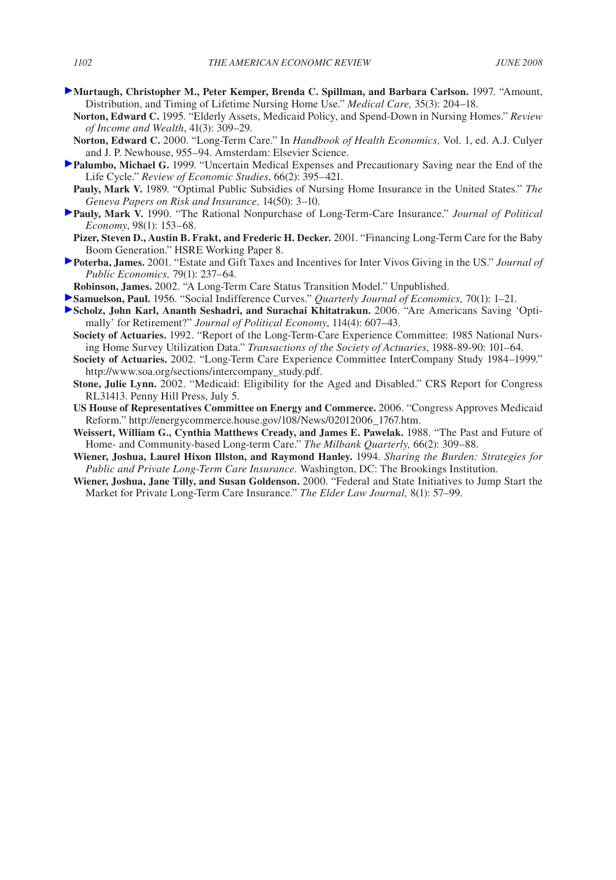- **Murtaugh, Christopher M., Peter Kemper, Brenda C. Spillman, and Barbara Carlson.** 1997. "Amount, Distribution, and Timing of Lifetime Nursing Home Use." *Medical Care,* 35(3): 204–18.
- **Norton, Edward C.** 1995. "Elderly Assets, Medicaid Policy, and Spend-Down in Nursing Homes." *Review of Income and Wealth*, 41(3): 309–29.
- **Norton, Edward C.** 2000. "Long-Term Care." In *Handbook of Health Economics,* Vol. 1, ed. A.J. Culyer and J. P. Newhouse, 955–94. Amsterdam: Elsevier Science.
- **Palumbo, Michael G.** 1999. "Uncertain Medical Expenses and Precautionary Saving near the End of the Life Cycle." *Review of Economic Studies*, 66(2): 395–421.
- **Pauly, Mark V.** 1989. "Optimal Public Subsidies of Nursing Home Insurance in the United States." *The Geneva Papers on Risk and Insurance,* 14(50): 3–10.
- **Pauly, Mark V.** 1990. "The Rational Nonpurchase of Long-Term-Care Insurance." *Journal of Political Economy*, 98(1): 153–68.
- **Pizer, Steven D., Austin B. Frakt, and Frederic H. Decker.** 2001. "Financing Long-Term Care for the Baby Boom Generation." HSRE Working Paper 8.
- **Poterba, James.** 2001. "Estate and Gift Taxes and Incentives for Inter Vivos Giving in the US." *Journal of Public Economics,* 79(1): 237–64.
- **Robinson, James.** 2002. "A Long-Term Care Status Transition Model." Unpublished.
- **Samuelson, Paul.** 1956. "Social Indifference Curves." *Quarterly Journal of Economics,* 70(1): 1–21.
- **Scholz, John Karl, Ananth Seshadri, and Surachai Khitatrakun.** 2006. "Are Americans Saving 'Optimally' for Retirement?" *Journal of Political Economy*, 114(4): 607–43.
- **Society of Actuaries.** 1992. "Report of the Long-Term-Care Experience Committee: 1985 National Nursing Home Survey Utilization Data." *Transactions of the Society of Actuaries*, 1988-89-90: 101–64.
- **Society of Actuaries.** 2002. "Long-Term Care Experience Committee InterCompany Study 1984–1999." http://www.soa.org/sections/intercompany\_study.pdf.
- **Stone, Julie Lynn.** 2002. "Medicaid: Eligibility for the Aged and Disabled." CRS Report for Congress RL31413. Penny Hill Press, July 5.
- **US House of Representatives Committee on Energy and Commerce.** 2006. "Congress Approves Medicaid Reform." http://energycommerce.house.gov/108/News/02012006\_1767.htm.
- **Weissert, William G., Cynthia Matthews Cready, and James E. Pawelak.** 1988. "The Past and Future of Home- and Community-based Long-term Care." *The Milbank Quarterly,* 66(2): 309–88.
- **Wiener, Joshua, Laurel Hixon Illston, and Raymond Hanley.** 1994. *Sharing the Burden: Strategies for Public and Private Long-Term Care Insurance.* Washington, DC: The Brookings Institution.
- **Wiener, Joshua, Jane Tilly, and Susan Goldenson.** 2000. "Federal and State Initiatives to Jump Start the Market for Private Long-Term Care Insurance." *The Elder Law Journal,* 8(1): 57–99.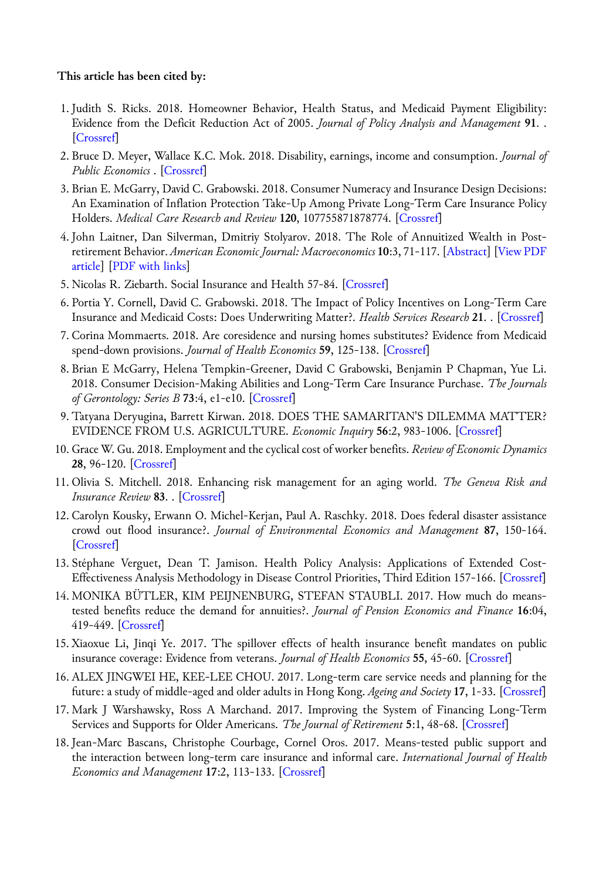# **This article has been cited by:**

- 1. Judith S. Ricks. 2018. Homeowner Behavior, Health Status, and Medicaid Payment Eligibility: Evidence from the Deficit Reduction Act of 2005. *Journal of Policy Analysis and Management* **91**. . [\[Crossref](https://doi.org/10.1002/pam.22085)]
- 2. Bruce D. Meyer, Wallace K.C. Mok. 2018. Disability, earnings, income and consumption. *Journal of Public Economics* . [\[Crossref](https://doi.org/10.1016/j.jpubeco.2018.06.011)]
- 3. Brian E. McGarry, David C. Grabowski. 2018. Consumer Numeracy and Insurance Design Decisions: An Examination of Inflation Protection Take-Up Among Private Long-Term Care Insurance Policy Holders. *Medical Care Research and Review* **120**, 107755871878774. [[Crossref\]](https://doi.org/10.1177/1077558718787742)
- 4. John Laitner, Dan Silverman, Dmitriy Stolyarov. 2018. The Role of Annuitized Wealth in Postretirement Behavior. *American Economic Journal: Macroeconomics* **10**:3, 71-117. [\[Abstract](https://doi.org/10.1257/mac.20160343)] [\[View PDF](http://pubs.aeaweb.org/doi/pdf/10.1257/mac.20160343) [article](http://pubs.aeaweb.org/doi/pdf/10.1257/mac.20160343)] [\[PDF with links](http://pubs.aeaweb.org/doi/pdfplus/10.1257/mac.20160343)]
- 5. Nicolas R. Ziebarth. Social Insurance and Health 57-84. [[Crossref\]](https://doi.org/10.1108/S0573-855520180000294003)
- 6. Portia Y. Cornell, David C. Grabowski. 2018. The Impact of Policy Incentives on Long-Term Care Insurance and Medicaid Costs: Does Underwriting Matter?. *Health Services Research* **21**. . [[Crossref\]](https://doi.org/10.1111/1475-6773.12870)
- 7. Corina Mommaerts. 2018. Are coresidence and nursing homes substitutes? Evidence from Medicaid spend-down provisions. *Journal of Health Economics* **59**, 125-138. [[Crossref\]](https://doi.org/10.1016/j.jhealeco.2018.04.003)
- 8. Brian E McGarry, Helena Tempkin-Greener, David C Grabowski, Benjamin P Chapman, Yue Li. 2018. Consumer Decision-Making Abilities and Long-Term Care Insurance Purchase. *The Journals of Gerontology: Series B* **73**:4, e1-e10. [[Crossref\]](https://doi.org/10.1093/geronb/gbx059)
- 9. Tatyana Deryugina, Barrett Kirwan. 2018. DOES THE SAMARITAN'S DILEMMA MATTER? EVIDENCE FROM U.S. AGRICULTURE. *Economic Inquiry* **56**:2, 983-1006. [[Crossref\]](https://doi.org/10.1111/ecin.12527)
- 10. Grace W. Gu. 2018. Employment and the cyclical cost of worker benefits. *Review of Economic Dynamics* **28**, 96-120. [\[Crossref](https://doi.org/10.1016/j.red.2017.08.001)]
- 11. Olivia S. Mitchell. 2018. Enhancing risk management for an aging world. *The Geneva Risk and Insurance Review* **83**. . [\[Crossref](https://doi.org/10.1057/s10713-018-0027-x)]
- 12. Carolyn Kousky, Erwann O. Michel-Kerjan, Paul A. Raschky. 2018. Does federal disaster assistance crowd out flood insurance?. *Journal of Environmental Economics and Management* **87**, 150-164. [\[Crossref](https://doi.org/10.1016/j.jeem.2017.05.010)]
- 13. Stéphane Verguet, Dean T. Jamison. Health Policy Analysis: Applications of Extended Cost-Effectiveness Analysis Methodology in Disease Control Priorities, Third Edition 157-166. [[Crossref\]](https://doi.org/10.1596/978-1-4648-0527-1_ch8)
- 14. MONIKA BÜTLER, KIM PEIJNENBURG, STEFAN STAUBLI. 2017. How much do meanstested benefits reduce the demand for annuities?. *Journal of Pension Economics and Finance* **16**:04, 419-449. [\[Crossref\]](https://doi.org/10.1017/S1474747216000081)
- 15. Xiaoxue Li, Jinqi Ye. 2017. The spillover effects of health insurance benefit mandates on public insurance coverage: Evidence from veterans. *Journal of Health Economics* **55**, 45-60. [[Crossref\]](https://doi.org/10.1016/j.jhealeco.2017.06.006)
- 16. ALEX JINGWEI HE, KEE-LEE CHOU. 2017. Long-term care service needs and planning for the future: a study of middle-aged and older adults in Hong Kong. *Ageing and Society* **17**, 1-33. [[Crossref\]](https://doi.org/10.1017/S0144686X17000824)
- 17. Mark J Warshawsky, Ross A Marchand. 2017. Improving the System of Financing Long-Term Services and Supports for Older Americans. *The Journal of Retirement* **5**:1, 48-68. [\[Crossref](https://doi.org/10.3905/jor.2017.5.1.048)]
- 18. Jean-Marc Bascans, Christophe Courbage, Cornel Oros. 2017. Means-tested public support and the interaction between long-term care insurance and informal care. *International Journal of Health Economics and Management* **17**:2, 113-133. [\[Crossref](https://doi.org/10.1007/s10754-016-9206-4)]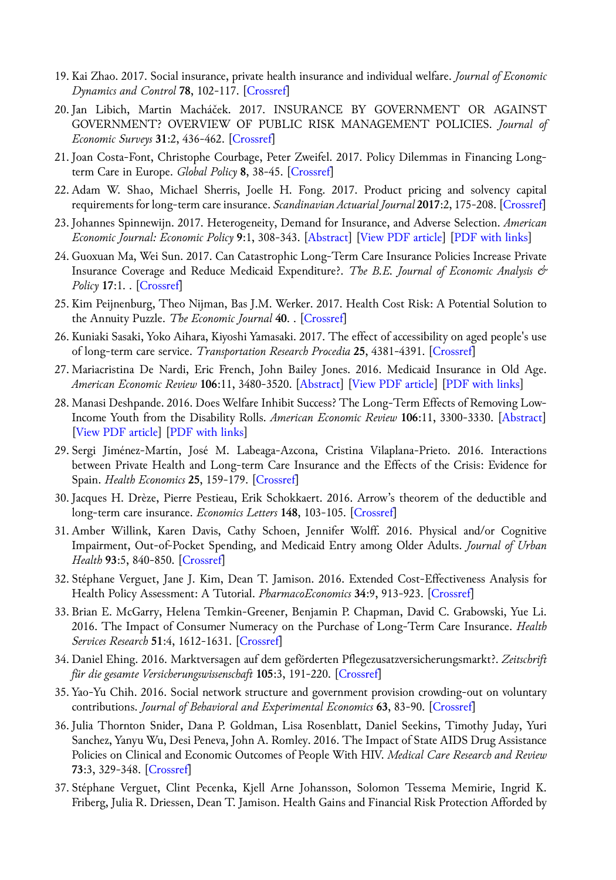- 19. Kai Zhao. 2017. Social insurance, private health insurance and individual welfare. *Journal of Economic Dynamics and Control* **78**, 102-117. [\[Crossref](https://doi.org/10.1016/j.jedc.2017.03.004)]
- 20. Jan Libich, Martin Macháček. 2017. INSURANCE BY GOVERNMENT OR AGAINST GOVERNMENT? OVERVIEW OF PUBLIC RISK MANAGEMENT POLICIES. *Journal of Economic Surveys* **31**:2, 436-462. [\[Crossref](https://doi.org/10.1111/joes.12144)]
- 21. Joan Costa-Font, Christophe Courbage, Peter Zweifel. 2017. Policy Dilemmas in Financing Longterm Care in Europe. *Global Policy* **8**, 38-45. [\[Crossref](https://doi.org/10.1111/1758-5899.12213)]
- 22. Adam W. Shao, Michael Sherris, Joelle H. Fong. 2017. Product pricing and solvency capital requirements for long-term care insurance. *Scandinavian Actuarial Journal* **2017**:2, 175-208. [[Crossref\]](https://doi.org/10.1080/03461238.2015.1095793)
- 23. Johannes Spinnewijn. 2017. Heterogeneity, Demand for Insurance, and Adverse Selection. *American Economic Journal: Economic Policy* **9**:1, 308-343. [[Abstract\]](https://doi.org/10.1257/pol.20140254) [[View PDF article\]](http://pubs.aeaweb.org/doi/pdf/10.1257/pol.20140254) [[PDF with links\]](http://pubs.aeaweb.org/doi/pdfplus/10.1257/pol.20140254)
- 24. Guoxuan Ma, Wei Sun. 2017. Can Catastrophic Long-Term Care Insurance Policies Increase Private Insurance Coverage and Reduce Medicaid Expenditure?. *The B.E. Journal of Economic Analysis & Policy* **17**:1. . [\[Crossref](https://doi.org/10.1515/bejeap-2016-0243)]
- 25. Kim Peijnenburg, Theo Nijman, Bas J.M. Werker. 2017. Health Cost Risk: A Potential Solution to the Annuity Puzzle. *The Economic Journal* **40**. . [[Crossref\]](https://doi.org/10.1111/ecoj.12354)
- 26. Kuniaki Sasaki, Yoko Aihara, Kiyoshi Yamasaki. 2017. The effect of accessibility on aged people's use of long-term care service. *Transportation Research Procedia* **25**, 4381-4391. [\[Crossref](https://doi.org/10.1016/j.trpro.2017.05.320)]
- 27. Mariacristina De Nardi, Eric French, John Bailey Jones. 2016. Medicaid Insurance in Old Age. *American Economic Review* **106**:11, 3480-3520. [\[Abstract](https://doi.org/10.1257/aer.20140015)] [\[View PDF article](http://pubs.aeaweb.org/doi/pdf/10.1257/aer.20140015)] [[PDF with links](http://pubs.aeaweb.org/doi/pdfplus/10.1257/aer.20140015)]
- 28. Manasi Deshpande. 2016. Does Welfare Inhibit Success? The Long-Term Effects of Removing Low-Income Youth from the Disability Rolls. *American Economic Review* **106**:11, 3300-3330. [[Abstract\]](https://doi.org/10.1257/aer.20151129) [\[View PDF article](http://pubs.aeaweb.org/doi/pdf/10.1257/aer.20151129)] [\[PDF with links](http://pubs.aeaweb.org/doi/pdfplus/10.1257/aer.20151129)]
- 29. Sergi Jiménez-Martín, José M. Labeaga-Azcona, Cristina Vilaplana-Prieto. 2016. Interactions between Private Health and Long-term Care Insurance and the Effects of the Crisis: Evidence for Spain. *Health Economics* **25**, 159-179. [\[Crossref](https://doi.org/10.1002/hec.3440)]
- 30. Jacques H. Drèze, Pierre Pestieau, Erik Schokkaert. 2016. Arrow's theorem of the deductible and long-term care insurance. *Economics Letters* **148**, 103-105. [[Crossref\]](https://doi.org/10.1016/j.econlet.2016.08.042)
- 31. Amber Willink, Karen Davis, Cathy Schoen, Jennifer Wolff. 2016. Physical and/or Cognitive Impairment, Out-of-Pocket Spending, and Medicaid Entry among Older Adults. *Journal of Urban Health* **93**:5, 840-850. [\[Crossref](https://doi.org/10.1007/s11524-016-0078-1)]
- 32. Stéphane Verguet, Jane J. Kim, Dean T. Jamison. 2016. Extended Cost-Effectiveness Analysis for Health Policy Assessment: A Tutorial. *PharmacoEconomics* **34**:9, 913-923. [[Crossref\]](https://doi.org/10.1007/s40273-016-0414-z)
- 33. Brian E. McGarry, Helena Temkin-Greener, Benjamin P. Chapman, David C. Grabowski, Yue Li. 2016. The Impact of Consumer Numeracy on the Purchase of Long-Term Care Insurance. *Health Services Research* **51**:4, 1612-1631. [\[Crossref](https://doi.org/10.1111/1475-6773.12439)]
- 34.Daniel Ehing. 2016. Marktversagen auf dem geförderten Pflegezusatzversicherungsmarkt?. *Zeitschrift für die gesamte Versicherungswissenschaft* **105**:3, 191-220. [\[Crossref](https://doi.org/10.1007/s12297-016-0338-x)]
- 35. Yao-Yu Chih. 2016. Social network structure and government provision crowding-out on voluntary contributions. *Journal of Behavioral and Experimental Economics* **63**, 83-90. [\[Crossref](https://doi.org/10.1016/j.socec.2016.05.008)]
- 36. Julia Thornton Snider, Dana P. Goldman, Lisa Rosenblatt, Daniel Seekins, Timothy Juday, Yuri Sanchez, Yanyu Wu, Desi Peneva, John A. Romley. 2016. The Impact of State AIDS Drug Assistance Policies on Clinical and Economic Outcomes of People With HIV. *Medical Care Research and Review* **73**:3, 329-348. [[Crossref\]](https://doi.org/10.1177/1077558715614479)
- 37. Stéphane Verguet, Clint Pecenka, Kjell Arne Johansson, Solomon Tessema Memirie, Ingrid K. Friberg, Julia R. Driessen, Dean T. Jamison. Health Gains and Financial Risk Protection Afforded by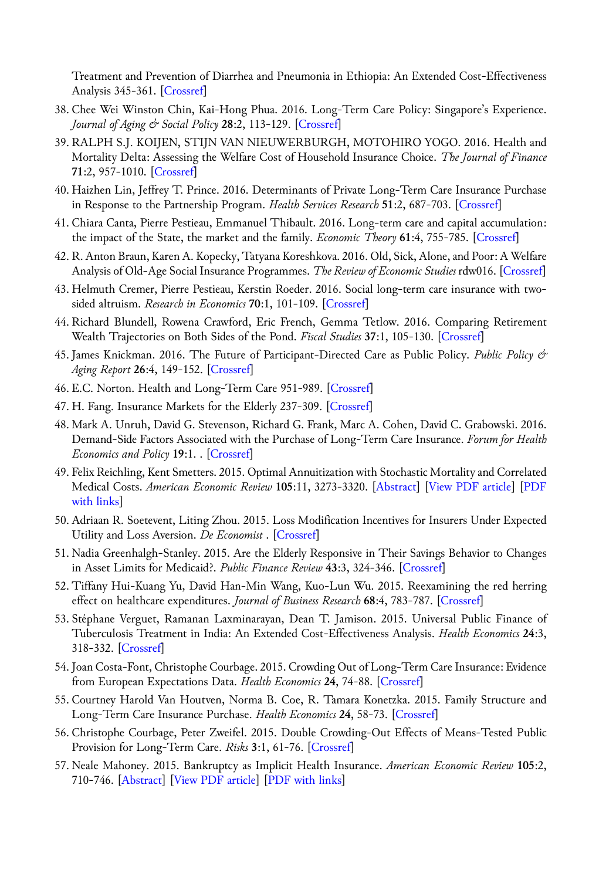Treatment and Prevention of Diarrhea and Pneumonia in Ethiopia: An Extended Cost-Effectiveness Analysis 345-361. [\[Crossref](https://doi.org/10.1596/978-1-4648-0348-2_ch19)]

- 38. Chee Wei Winston Chin, Kai-Hong Phua. 2016. Long-Term Care Policy: Singapore's Experience. *Journal of Aging & Social Policy* **28**:2, 113-129. [\[Crossref](https://doi.org/10.1080/08959420.2016.1145534)]
- 39. RALPH S.J. KOIJEN, STIJN VAN NIEUWERBURGH, MOTOHIRO YOGO. 2016. Health and Mortality Delta: Assessing the Welfare Cost of Household Insurance Choice. *The Journal of Finance* **71**:2, 957-1010. [\[Crossref](https://doi.org/10.1111/jofi.12273)]
- 40. Haizhen Lin, Jeffrey T. Prince. 2016. Determinants of Private Long-Term Care Insurance Purchase in Response to the Partnership Program. *Health Services Research* **51**:2, 687-703. [\[Crossref\]](https://doi.org/10.1111/1475-6773.12353)
- 41. Chiara Canta, Pierre Pestieau, Emmanuel Thibault. 2016. Long-term care and capital accumulation: the impact of the State, the market and the family. *Economic Theory* **61**:4, 755-785. [[Crossref\]](https://doi.org/10.1007/s00199-016-0957-4)
- 42. R. Anton Braun, Karen A. Kopecky, Tatyana Koreshkova. 2016. Old, Sick, Alone, and Poor: A Welfare Analysis of Old-Age Social Insurance Programmes. *The Review of Economic Studies* rdw016. [[Crossref\]](https://doi.org/10.1093/restud/rdw016)
- 43. Helmuth Cremer, Pierre Pestieau, Kerstin Roeder. 2016. Social long-term care insurance with twosided altruism. *Research in Economics* **70**:1, 101-109. [[Crossref\]](https://doi.org/10.1016/j.rie.2015.10.003)
- 44. Richard Blundell, Rowena Crawford, Eric French, Gemma Tetlow. 2016. Comparing Retirement Wealth Trajectories on Both Sides of the Pond. *Fiscal Studies* **37**:1, 105-130. [\[Crossref](https://doi.org/10.1111/j.1475-5890.2016.12086)]
- 45. James Knickman. 2016. The Future of Participant-Directed Care as Public Policy. *Public Policy & Aging Report* **26**:4, 149-152. [\[Crossref](https://doi.org/10.1093/ppar/prw024)]
- 46. E.C. Norton. Health and Long-Term Care 951-989. [\[Crossref](https://doi.org/10.1016/bs.hespa.2016.06.001)]
- 47. H. Fang. Insurance Markets for the Elderly 237-309. [[Crossref](https://doi.org/10.1016/bs.hespa.2016.05.003)]
- 48. Mark A. Unruh, David G. Stevenson, Richard G. Frank, Marc A. Cohen, David C. Grabowski. 2016. Demand-Side Factors Associated with the Purchase of Long-Term Care Insurance. *Forum for Health Economics and Policy* **19**:1. . [\[Crossref](https://doi.org/10.1515/fhep-2014-0020)]
- 49. Felix Reichling, Kent Smetters. 2015. Optimal Annuitization with Stochastic Mortality and Correlated Medical Costs. *American Economic Review* **105**:11, 3273-3320. [[Abstract\]](https://doi.org/10.1257/aer.20131584) [[View PDF article](http://pubs.aeaweb.org/doi/pdf/10.1257/aer.20131584)] [\[PDF](http://pubs.aeaweb.org/doi/pdfplus/10.1257/aer.20131584) [with links](http://pubs.aeaweb.org/doi/pdfplus/10.1257/aer.20131584)]
- 50. Adriaan R. Soetevent, Liting Zhou. 2015. Loss Modification Incentives for Insurers Under Expected Utility and Loss Aversion. *De Economist* . [\[Crossref](https://doi.org/10.1007/s10645-015-9259-7)]
- 51. Nadia Greenhalgh-Stanley. 2015. Are the Elderly Responsive in Their Savings Behavior to Changes in Asset Limits for Medicaid?. *Public Finance Review* **43**:3, 324-346. [[Crossref\]](https://doi.org/10.1177/1091142113515047)
- 52. Tiffany Hui-Kuang Yu, David Han-Min Wang, Kuo-Lun Wu. 2015. Reexamining the red herring effect on healthcare expenditures. *Journal of Business Research* **68**:4, 783-787. [[Crossref\]](https://doi.org/10.1016/j.jbusres.2014.11.028)
- 53. Stéphane Verguet, Ramanan Laxminarayan, Dean T. Jamison. 2015. Universal Public Finance of Tuberculosis Treatment in India: An Extended Cost-Effectiveness Analysis. *Health Economics* **24**:3, 318-332. [\[Crossref\]](https://doi.org/10.1002/hec.3019)
- 54. Joan Costa-Font, Christophe Courbage. 2015. Crowding Out of Long-Term Care Insurance: Evidence from European Expectations Data. *Health Economics* **24**, 74-88. [\[Crossref](https://doi.org/10.1002/hec.3148)]
- 55. Courtney Harold Van Houtven, Norma B. Coe, R. Tamara Konetzka. 2015. Family Structure and Long-Term Care Insurance Purchase. *Health Economics* **24**, 58-73. [[Crossref\]](https://doi.org/10.1002/hec.3145)
- 56. Christophe Courbage, Peter Zweifel. 2015. Double Crowding-Out Effects of Means-Tested Public Provision for Long-Term Care. *Risks* **3**:1, 61-76. [[Crossref\]](https://doi.org/10.3390/risks3010061)
- 57. Neale Mahoney. 2015. Bankruptcy as Implicit Health Insurance. *American Economic Review* **105**:2, 710-746. [\[Abstract](https://doi.org/10.1257/aer.20131408)] [\[View PDF article](http://pubs.aeaweb.org/doi/pdf/10.1257/aer.20131408)] [\[PDF with links](http://pubs.aeaweb.org/doi/pdfplus/10.1257/aer.20131408)]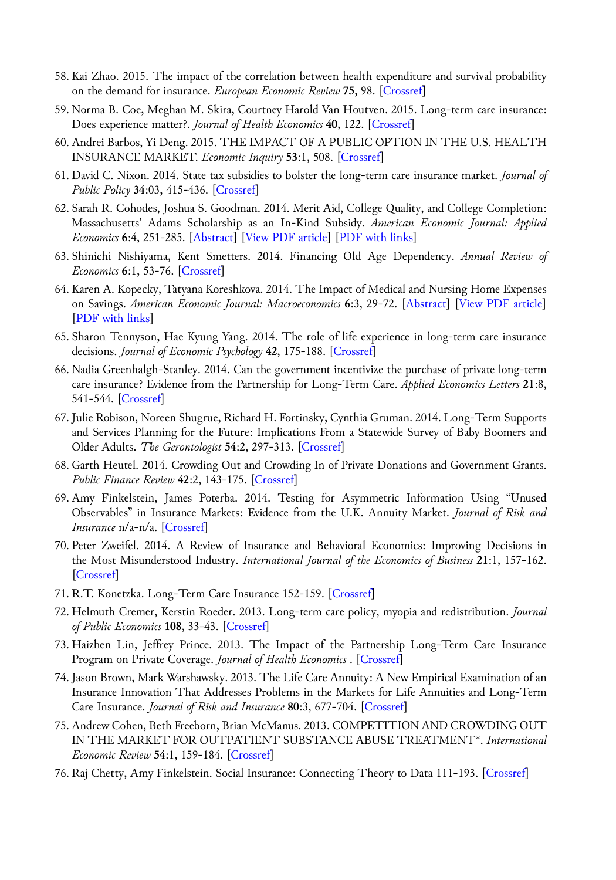- 58. Kai Zhao. 2015. The impact of the correlation between health expenditure and survival probability on the demand for insurance. *European Economic Review* **75**, 98. [\[Crossref](https://doi.org/10.1016/j.euroecorev.2015.01.003)]
- 59. Norma B. Coe, Meghan M. Skira, Courtney Harold Van Houtven. 2015. Long-term care insurance: Does experience matter?. *Journal of Health Economics* **40**, 122. [\[Crossref](https://doi.org/10.1016/j.jhealeco.2015.01.001)]
- 60. Andrei Barbos, Yi Deng. 2015. THE IMPACT OF A PUBLIC OPTION IN THE U.S. HEALTH INSURANCE MARKET. *Economic Inquiry* **53**:1, 508. [[Crossref](https://doi.org/10.1111/ecin.12132)]
- 61.David C. Nixon. 2014. State tax subsidies to bolster the long-term care insurance market. *Journal of Public Policy* **34**:03, 415-436. [[Crossref\]](https://doi.org/10.1017/S0143814X14000178)
- 62. Sarah R. Cohodes, Joshua S. Goodman. 2014. Merit Aid, College Quality, and College Completion: Massachusetts' Adams Scholarship as an In-Kind Subsidy. *American Economic Journal: Applied Economics* **6**:4, 251-285. [[Abstract\]](https://doi.org/10.1257/app.6.4.251) [[View PDF article\]](http://pubs.aeaweb.org/doi/pdf/10.1257/app.6.4.251) [[PDF with links\]](http://pubs.aeaweb.org/doi/pdfplus/10.1257/app.6.4.251)
- 63. Shinichi Nishiyama, Kent Smetters. 2014. Financing Old Age Dependency. *Annual Review of Economics* **6**:1, 53-76. [[Crossref\]](https://doi.org/10.1146/annurev-economics-080213-041304)
- 64. Karen A. Kopecky, Tatyana Koreshkova. 2014. The Impact of Medical and Nursing Home Expenses on Savings. *American Economic Journal: Macroeconomics* **6**:3, 29-72. [\[Abstract](https://doi.org/10.1257/mac.6.3.29)] [[View PDF article\]](http://pubs.aeaweb.org/doi/pdf/10.1257/mac.6.3.29) [\[PDF with links\]](http://pubs.aeaweb.org/doi/pdfplus/10.1257/mac.6.3.29)
- 65. Sharon Tennyson, Hae Kyung Yang. 2014. The role of life experience in long-term care insurance decisions. *Journal of Economic Psychology* **42**, 175-188. [[Crossref\]](https://doi.org/10.1016/j.joep.2014.04.002)
- 66. Nadia Greenhalgh-Stanley. 2014. Can the government incentivize the purchase of private long-term care insurance? Evidence from the Partnership for Long-Term Care. *Applied Economics Letters* **21**:8, 541-544. [\[Crossref\]](https://doi.org/10.1080/13504851.2013.872756)
- 67. Julie Robison, Noreen Shugrue, Richard H. Fortinsky, Cynthia Gruman. 2014. Long-Term Supports and Services Planning for the Future: Implications From a Statewide Survey of Baby Boomers and Older Adults. *The Gerontologist* **54**:2, 297-313. [[Crossref\]](https://doi.org/10.1093/geront/gnt094)
- 68. Garth Heutel. 2014. Crowding Out and Crowding In of Private Donations and Government Grants. *Public Finance Review* **42**:2, 143-175. [\[Crossref](https://doi.org/10.1177/1091142112447525)]
- 69. Amy Finkelstein, James Poterba. 2014. Testing for Asymmetric Information Using "Unused Observables" in Insurance Markets: Evidence from the U.K. Annuity Market. *Journal of Risk and Insurance* n/a-n/a. Crossref
- 70. Peter Zweifel. 2014. A Review of Insurance and Behavioral Economics: Improving Decisions in the Most Misunderstood Industry. *International Journal of the Economics of Business* **21**:1, 157-162. [\[Crossref](https://doi.org/10.1080/13571516.2013.835959)]
- 71. R.T. Konetzka. Long-Term Care Insurance 152-159. [[Crossref\]](https://doi.org/10.1016/B978-0-12-375678-7.00921-4)
- 72. Helmuth Cremer, Kerstin Roeder. 2013. Long-term care policy, myopia and redistribution. *Journal of Public Economics* **108**, 33-43. [\[Crossref](https://doi.org/10.1016/j.jpubeco.2013.09.004)]
- 73. Haizhen Lin, Jeffrey Prince. 2013. The Impact of the Partnership Long-Term Care Insurance Program on Private Coverage. *Journal of Health Economics* . [[Crossref\]](https://doi.org/10.1016/j.jhealeco.2013.09.010)
- 74. Jason Brown, Mark Warshawsky. 2013. The Life Care Annuity: A New Empirical Examination of an Insurance Innovation That Addresses Problems in the Markets for Life Annuities and Long-Term Care Insurance. *Journal of Risk and Insurance* **80**:3, 677-704. [\[Crossref](https://doi.org/10.1111/j.1539-6975.2013.12013.x)]
- 75. Andrew Cohen, Beth Freeborn, Brian McManus. 2013. COMPETITION AND CROWDING OUT IN THE MARKET FOR OUTPATIENT SUBSTANCE ABUSE TREATMENT\*. *International Economic Review* **54**:1, 159-184. [[Crossref\]](https://doi.org/10.1111/j.1468-2354.2012.00729.x)
- 76. Raj Chetty, Amy Finkelstein. Social Insurance: Connecting Theory to Data 111-193. [[Crossref\]](https://doi.org/10.1016/B978-0-444-53759-1.00003-0)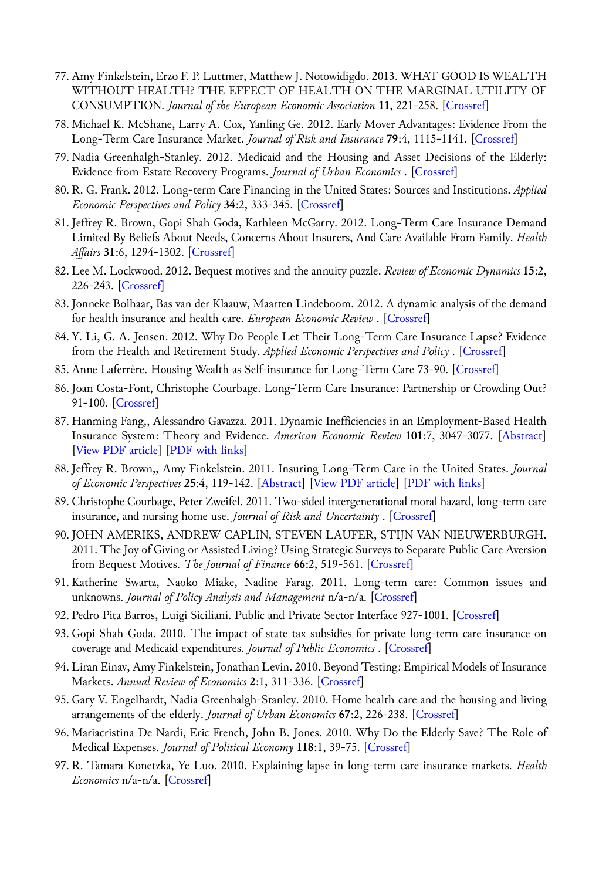- 77. Amy Finkelstein, Erzo F. P. Luttmer, Matthew J. Notowidigdo. 2013. WHAT GOOD IS WEALTH WITHOUT HEALTH? THE EFFECT OF HEALTH ON THE MARGINAL UTILITY OF CONSUMPTION. *Journal of the European Economic Association* **11**, 221-258. [[Crossref](https://doi.org/10.1111/j.1542-4774.2012.01101.x)]
- 78. Michael K. McShane, Larry A. Cox, Yanling Ge. 2012. Early Mover Advantages: Evidence From the Long-Term Care Insurance Market. *Journal of Risk and Insurance* **79**:4, 1115-1141. [\[Crossref\]](https://doi.org/10.1111/j.1539-6975.2011.01449.x)
- 79. Nadia Greenhalgh-Stanley. 2012. Medicaid and the Housing and Asset Decisions of the Elderly: Evidence from Estate Recovery Programs. *Journal of Urban Economics* . [\[Crossref](https://doi.org/10.1016/j.jue.2012.05.005)]
- 80. R. G. Frank. 2012. Long-term Care Financing in the United States: Sources and Institutions. *Applied Economic Perspectives and Policy* **34**:2, 333-345. [\[Crossref](https://doi.org/10.1093/aepp/pps016)]
- 81. Jeffrey R. Brown, Gopi Shah Goda, Kathleen McGarry. 2012. Long-Term Care Insurance Demand Limited By Beliefs About Needs, Concerns About Insurers, And Care Available From Family. *Health Affairs* **31**:6, 1294-1302. [[Crossref](https://doi.org/10.1377/hlthaff.2011.1307)]
- 82. Lee M. Lockwood. 2012. Bequest motives and the annuity puzzle. *Review of Economic Dynamics* **15**:2, 226-243. [\[Crossref\]](https://doi.org/10.1016/j.red.2011.03.001)
- 83. Jonneke Bolhaar, Bas van der Klaauw, Maarten Lindeboom. 2012. A dynamic analysis of the demand for health insurance and health care. *European Economic Review* . [[Crossref\]](https://doi.org/10.1016/j.euroecorev.2012.03.002)
- 84. Y. Li, G. A. Jensen. 2012. Why Do People Let Their Long-Term Care Insurance Lapse? Evidence from the Health and Retirement Study. *Applied Economic Perspectives and Policy* . [[Crossref\]](https://doi.org/10.1093/aepp/pps017)
- 85. Anne Laferrère. Housing Wealth as Self-insurance for Long-Term Care 73-90. [\[Crossref](https://doi.org/10.1057/9780230349193_5)]
- 86. Joan Costa-Font, Christophe Courbage. Long-Term Care Insurance: Partnership or Crowding Out? 91-100. [[Crossref\]](https://doi.org/10.1057/9780230349193_6)
- 87. Hanming Fang,, Alessandro Gavazza. 2011. Dynamic Inefficiencies in an Employment-Based Health Insurance System: Theory and Evidence. *American Economic Review* **101**:7, 3047-3077. [[Abstract\]](https://doi.org/10.1257/aer.101.7.3047) [\[View PDF article](http://pubs.aeaweb.org/doi/pdf/10.1257/aer.101.7.3047)] [\[PDF with links](http://pubs.aeaweb.org/doi/pdfplus/10.1257/aer.101.7.3047)]
- 88. Jeffrey R. Brown,, Amy Finkelstein. 2011. Insuring Long-Term Care in the United States. *Journal of Economic Perspectives* **25**:4, 119-142. [[Abstract\]](https://doi.org/10.1257/jep.25.4.119) [[View PDF article\]](http://pubs.aeaweb.org/doi/pdf/10.1257/jep.25.4.119) [\[PDF with links\]](http://pubs.aeaweb.org/doi/pdfplus/10.1257/jep.25.4.119)
- 89. Christophe Courbage, Peter Zweifel. 2011. Two-sided intergenerational moral hazard, long-term care insurance, and nursing home use. *Journal of Risk and Uncertainty* . [[Crossref\]](https://doi.org/10.1007/s11166-011-9120-6)
- 90. JOHN AMERIKS, ANDREW CAPLIN, STEVEN LAUFER, STIJN VAN NIEUWERBURGH. 2011. The Joy of Giving or Assisted Living? Using Strategic Surveys to Separate Public Care Aversion from Bequest Motives. *The Journal of Finance* **66**:2, 519-561. [\[Crossref](https://doi.org/10.1111/j.1540-6261.2010.01641.x)]
- 91. Katherine Swartz, Naoko Miake, Nadine Farag. 2011. Long-term care: Common issues and unknowns. *Journal of Policy Analysis and Management* n/a-n/a. [\[Crossref](https://doi.org/10.1002/pam.20629)]
- 92. Pedro Pita Barros, Luigi Siciliani. Public and Private Sector Interface 927-1001. [[Crossref\]](https://doi.org/10.1016/B978-0-444-53592-4.00015-3)
- 93. Gopi Shah Goda. 2010. The impact of state tax subsidies for private long-term care insurance on coverage and Medicaid expenditures. *Journal of Public Economics* . [[Crossref\]](https://doi.org/10.1016/j.jpubeco.2010.11.001)
- 94. Liran Einav, Amy Finkelstein, Jonathan Levin. 2010. Beyond Testing: Empirical Models of Insurance Markets. *Annual Review of Economics* **2**:1, 311-336. [[Crossref\]](https://doi.org/10.1146/annurev.economics.050708.143254)
- 95. Gary V. Engelhardt, Nadia Greenhalgh-Stanley. 2010. Home health care and the housing and living arrangements of the elderly. *Journal of Urban Economics* **67**:2, 226-238. [\[Crossref](https://doi.org/10.1016/j.jue.2009.09.007)]
- 96. Mariacristina De Nardi, Eric French, John B. Jones. 2010. Why Do the Elderly Save? The Role of Medical Expenses. *Journal of Political Economy* **118**:1, 39-75. [[Crossref\]](https://doi.org/10.1086/651674)
- 97. R. Tamara Konetzka, Ye Luo. 2010. Explaining lapse in long-term care insurance markets. *Health Economics* n/a-n/a. [[Crossref\]](https://doi.org/10.1002/hec.1661)